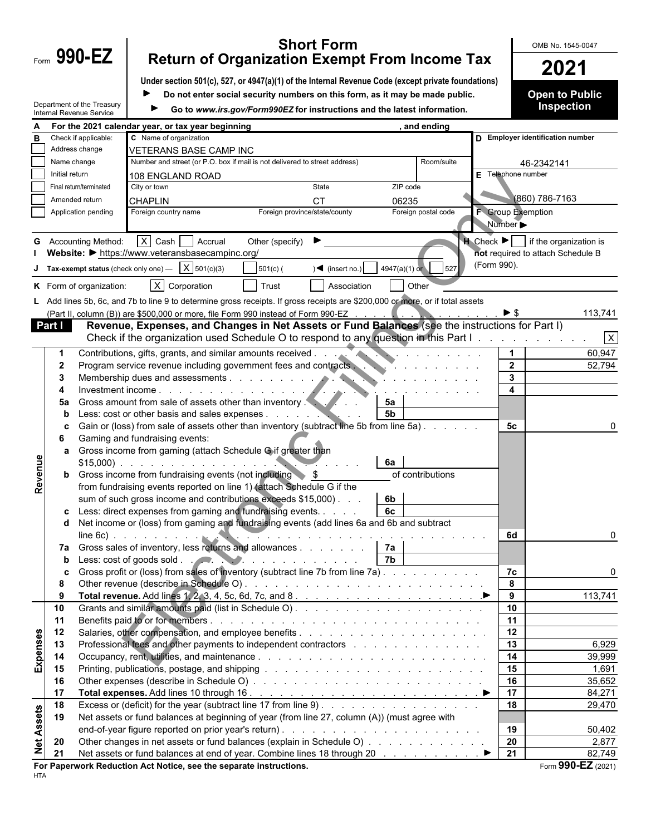## **Form 990-EZ** Return of Organization Exempt From Income Tax **COMB No. 1545-0047 Return of Organization Exempt From Income Tax 2021**

**Under section 501(c), 527, or 4947(a)(1) of the Internal Revenue Code (except private foundations)**

 $\blacksquare$ **Do not enter social security numbers on this form, as it may be made public.** **Open to Public Inspection**

|                   |                | Department of the Treasury<br>Internal Revenue Service |                                                                      | Go to www.irs.gov/Form990EZ for instructions and the latest information.                                                      |                |                                                                                                                  |                                  |                | Inspection                                                     |
|-------------------|----------------|--------------------------------------------------------|----------------------------------------------------------------------|-------------------------------------------------------------------------------------------------------------------------------|----------------|------------------------------------------------------------------------------------------------------------------|----------------------------------|----------------|----------------------------------------------------------------|
|                   |                |                                                        | For the 2021 calendar year, or tax year beginning                    |                                                                                                                               |                | and ending                                                                                                       |                                  |                |                                                                |
|                   |                | Check if applicable:                                   | C Name of organization                                               |                                                                                                                               |                |                                                                                                                  | D Employer identification number |                |                                                                |
|                   |                | Address change                                         | <b>VETERANS BASE CAMP INC</b>                                        |                                                                                                                               |                |                                                                                                                  |                                  |                |                                                                |
|                   | Name change    |                                                        |                                                                      | Number and street (or P.O. box if mail is not delivered to street address)                                                    |                | Room/suite                                                                                                       |                                  | 46-2342141     |                                                                |
|                   | Initial return |                                                        | 108 ENGLAND ROAD                                                     |                                                                                                                               |                |                                                                                                                  | $E$ Telephone number             |                |                                                                |
|                   |                | Final return/terminated                                | City or town                                                         | State                                                                                                                         | ZIP code       |                                                                                                                  |                                  |                |                                                                |
|                   |                | Amended return                                         |                                                                      |                                                                                                                               |                |                                                                                                                  |                                  | (860) 786-7163 |                                                                |
|                   |                |                                                        | <b>CHAPLIN</b>                                                       | <b>CT</b>                                                                                                                     | 06235          |                                                                                                                  | <b>F</b> Group Exemption         |                |                                                                |
|                   |                | Application pending                                    | Foreign country name                                                 | Foreign province/state/county                                                                                                 |                | Foreign postal code                                                                                              |                                  |                |                                                                |
|                   |                |                                                        |                                                                      |                                                                                                                               |                |                                                                                                                  | Number $\blacktriangleright$     |                |                                                                |
|                   |                | <b>G</b> Accounting Method:                            | $X$ Cash Accrual                                                     | Other (specify)                                                                                                               |                |                                                                                                                  |                                  |                | $\bigcup$ Check $\blacktriangleright$   if the organization is |
|                   |                |                                                        | Website: • https://www.veteransbasecampinc.org/                      |                                                                                                                               |                |                                                                                                                  |                                  |                | not required to attach Schedule B                              |
|                   |                |                                                        | <b>J</b> Tax-exempt status (check only one) $\overline{X}$ 501(c)(3) | $501(c)$ (<br>$) \blacktriangleleft$ (insert no.)                                                                             |                | $4947(a)(1)$ or $527$                                                                                            | (Form 990).                      |                |                                                                |
|                   |                |                                                        |                                                                      |                                                                                                                               |                |                                                                                                                  |                                  |                |                                                                |
|                   |                | K Form of organization:                                | $\overline{X}$ Corporation                                           | Trust<br>Association                                                                                                          |                | Other                                                                                                            |                                  |                |                                                                |
|                   |                |                                                        |                                                                      | L Add lines 5b, 6c, and 7b to line 9 to determine gross receipts. If gross receipts are \$200,000 or more, or if total assets |                |                                                                                                                  |                                  |                |                                                                |
|                   |                |                                                        |                                                                      | (Part II, column (B)) are \$500,000 or more, file Form 990 instead of Form 990-EZ                                             |                | and the company of the company of the company of the company of the company of the company of the company of the | $\triangleright$ \$              |                | 113,741                                                        |
|                   | Part I         |                                                        |                                                                      | Revenue, Expenses, and Changes in Net Assets or Fund Balances (see the instructions for Part I)                               |                |                                                                                                                  |                                  |                |                                                                |
|                   |                |                                                        |                                                                      | Check if the organization used Schedule O to respond to any question in this Part I.                                          |                |                                                                                                                  |                                  |                | $\overline{X}$                                                 |
|                   |                |                                                        |                                                                      | Contributions, gifts, grants, and similar amounts received                                                                    |                | .                                                                                                                |                                  |                | 60,947                                                         |
|                   | $\mathbf{2}$   |                                                        |                                                                      | Program service revenue including government fees and contracts                                                               |                |                                                                                                                  | $\overline{2}$                   |                | 52,794                                                         |
|                   | 3              |                                                        |                                                                      |                                                                                                                               |                |                                                                                                                  | 3                                |                |                                                                |
|                   |                |                                                        | Investment income                                                    |                                                                                                                               |                |                                                                                                                  | 4                                |                |                                                                |
|                   | 5a             |                                                        | Gross amount from sale of assets other than inventory.               |                                                                                                                               | 5а             |                                                                                                                  |                                  |                |                                                                |
|                   | b              |                                                        | Less: cost or other basis and sales expenses                         |                                                                                                                               | 5 <sub>b</sub> |                                                                                                                  |                                  |                |                                                                |
|                   |                |                                                        |                                                                      | Gain or (loss) from sale of assets other than inventory (subtract line 5b from line 5a)                                       |                |                                                                                                                  | 5с                               |                |                                                                |
|                   | 6              |                                                        | Gaming and fundraising events:                                       |                                                                                                                               |                |                                                                                                                  |                                  |                |                                                                |
|                   |                |                                                        | Gross income from gaming (attach Schedule Gif greater than           |                                                                                                                               |                |                                                                                                                  |                                  |                |                                                                |
|                   | a              |                                                        |                                                                      |                                                                                                                               | 6а             |                                                                                                                  |                                  |                |                                                                |
|                   |                |                                                        |                                                                      |                                                                                                                               |                |                                                                                                                  |                                  |                |                                                                |
| Revenue           |                |                                                        | <b>b</b> Gross income from fundraising events (not including \\$     |                                                                                                                               |                | of contributions                                                                                                 |                                  |                |                                                                |
|                   |                |                                                        |                                                                      | from fundraising events reported on line 1) (attach Schedule G if the                                                         |                |                                                                                                                  |                                  |                |                                                                |
|                   |                |                                                        |                                                                      | sum of such gross income and contributions exceeds \$15,000). .                                                               | 6b             |                                                                                                                  |                                  |                |                                                                |
|                   |                |                                                        |                                                                      | Less: direct expenses from gaming and fundraising events.                                                                     | 6c             |                                                                                                                  |                                  |                |                                                                |
|                   | d              |                                                        |                                                                      | Net income or (loss) from gaming and fundraising events (add lines 6a and 6b and subtract                                     |                |                                                                                                                  |                                  |                |                                                                |
|                   |                |                                                        | $line 6c$ ) $\ldots$ $\ldots$ $\ldots$                               |                                                                                                                               |                |                                                                                                                  | 6d                               |                |                                                                |
|                   | 7а             |                                                        |                                                                      | Gross sales of inventory, less returns and allowances                                                                         | 7а             |                                                                                                                  |                                  |                |                                                                |
|                   | b              |                                                        |                                                                      | Less: cost of goods sold.                                                                                                     | 7b             |                                                                                                                  |                                  |                |                                                                |
|                   |                |                                                        |                                                                      | Gross profit or (loss) from sales of inventory (subtract line 7b from line 7a)                                                |                |                                                                                                                  | 7c                               |                |                                                                |
|                   | 8              |                                                        |                                                                      |                                                                                                                               |                |                                                                                                                  |                                  |                |                                                                |
|                   | 9              |                                                        |                                                                      |                                                                                                                               |                |                                                                                                                  | 9                                |                | 113,741                                                        |
|                   | 10             |                                                        |                                                                      |                                                                                                                               |                |                                                                                                                  | 10                               |                |                                                                |
|                   | 11             |                                                        |                                                                      |                                                                                                                               |                |                                                                                                                  | 11                               |                |                                                                |
|                   | 12             |                                                        |                                                                      |                                                                                                                               |                |                                                                                                                  | 12                               |                |                                                                |
|                   | 13             |                                                        |                                                                      | Professional fees and other payments to independent contractors                                                               |                |                                                                                                                  | 13                               |                | 6,929                                                          |
| Expenses          | 14             |                                                        |                                                                      |                                                                                                                               |                |                                                                                                                  | 14                               |                | 39,999                                                         |
|                   | 15             |                                                        |                                                                      |                                                                                                                               |                |                                                                                                                  | 15                               |                | 1,691                                                          |
|                   | 16             |                                                        |                                                                      |                                                                                                                               |                |                                                                                                                  | 16                               |                | 35,652                                                         |
|                   | 17             |                                                        |                                                                      |                                                                                                                               |                |                                                                                                                  | 17                               |                | 84,271                                                         |
|                   | 18             |                                                        |                                                                      |                                                                                                                               |                |                                                                                                                  | 18                               |                | 29,470                                                         |
| <b>Net Assets</b> | 19             |                                                        |                                                                      | Net assets or fund balances at beginning of year (from line 27, column (A)) (must agree with                                  |                |                                                                                                                  |                                  |                |                                                                |
|                   |                |                                                        |                                                                      |                                                                                                                               |                |                                                                                                                  | 19                               |                | 50,402                                                         |
|                   | 20             |                                                        |                                                                      | Other changes in net assets or fund balances (explain in Schedule O)                                                          |                |                                                                                                                  | 20                               |                | 2,877                                                          |
|                   | 21             |                                                        |                                                                      | Net assets or fund balances at end of year. Combine lines 18 through 20 ▶                                                     |                |                                                                                                                  | $\overline{21}$                  |                | 82,749                                                         |
|                   |                |                                                        | For Department Peduction, Act Notice, and the concrete instructions  |                                                                                                                               |                |                                                                                                                  |                                  |                | $F_{\text{arm}}$ QQN_F7 (2024)                                 |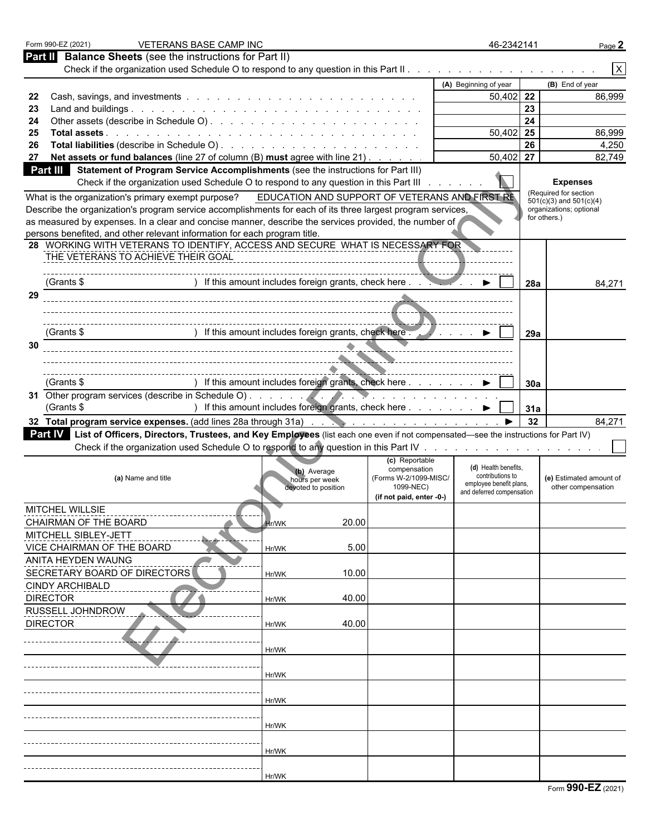| Form 990-EZ (2021)           | <b>VETERANS BASE CAMP INC</b>                                             |                                                                                                                                                  |                                                | 46-2342141                                           |              | Page 2                                                 |
|------------------------------|---------------------------------------------------------------------------|--------------------------------------------------------------------------------------------------------------------------------------------------|------------------------------------------------|------------------------------------------------------|--------------|--------------------------------------------------------|
| Part II                      | <b>Balance Sheets</b> (see the instructions for Part II)                  |                                                                                                                                                  |                                                |                                                      |              |                                                        |
|                              |                                                                           |                                                                                                                                                  |                                                |                                                      |              | $\pmb{\times}$                                         |
|                              |                                                                           |                                                                                                                                                  |                                                | (A) Beginning of year                                |              | (B) End of year                                        |
| 22                           |                                                                           |                                                                                                                                                  |                                                | $50,402$ 22                                          |              | 86,999                                                 |
| 23                           |                                                                           |                                                                                                                                                  |                                                |                                                      | 23           |                                                        |
| 24                           |                                                                           |                                                                                                                                                  |                                                | 50,402                                               | 24<br>25     | 86,999                                                 |
| 25<br>26                     |                                                                           |                                                                                                                                                  |                                                |                                                      | 26           | 4,250                                                  |
| 27                           |                                                                           | Net assets or fund balances (line 27 of column (B) must agree with line 21)                                                                      |                                                | 50,402                                               | 27           | 82,749                                                 |
| <b>Part III</b>              |                                                                           | Statement of Program Service Accomplishments (see the instructions for Part III)                                                                 |                                                |                                                      |              |                                                        |
|                              |                                                                           | Check if the organization used Schedule O to respond to any question in this Part III                                                            |                                                |                                                      |              | <b>Expenses</b>                                        |
|                              | What is the organization's primary exempt purpose?                        |                                                                                                                                                  | EDUCATION AND SUPPORT OF VETERANS AND FIRST RE |                                                      |              | (Required for section                                  |
|                              |                                                                           | Describe the organization's program service accomplishments for each of its three largest program services,                                      |                                                |                                                      |              | $501(c)(3)$ and $501(c)(4)$<br>organizations; optional |
|                              |                                                                           | as measured by expenses. In a clear and concise manner, describe the services provided, the number of                                            |                                                |                                                      | for others.) |                                                        |
|                              | persons benefited, and other relevant information for each program title. |                                                                                                                                                  |                                                |                                                      |              |                                                        |
|                              |                                                                           | 28 WORKING WITH VETERANS TO IDENTIFY, ACCESS AND SECURE WHAT IS NECESSARY FOR                                                                    |                                                |                                                      |              |                                                        |
|                              | THE VETERANS TO ACHIEVE THEIR GOAL                                        |                                                                                                                                                  |                                                |                                                      |              |                                                        |
|                              |                                                                           |                                                                                                                                                  |                                                |                                                      |              |                                                        |
| (Grants \$                   |                                                                           | ) If this amount includes foreign grants, check here ●                                                                                           |                                                |                                                      | 28a          | 84,271                                                 |
| 29                           |                                                                           |                                                                                                                                                  |                                                |                                                      |              |                                                        |
|                              |                                                                           |                                                                                                                                                  |                                                |                                                      |              |                                                        |
| (Grants \$                   |                                                                           | ) If this amount includes foreign grants, check here.                                                                                            |                                                |                                                      |              |                                                        |
| 30                           |                                                                           |                                                                                                                                                  |                                                | and the company                                      | 29a          |                                                        |
|                              |                                                                           | ____________________________________                                                                                                             |                                                |                                                      |              |                                                        |
|                              |                                                                           |                                                                                                                                                  |                                                |                                                      |              |                                                        |
| (Grants \$                   |                                                                           | ) If this amount includes foreign grants, check here ▶                                                                                           |                                                |                                                      | 30a          |                                                        |
|                              |                                                                           |                                                                                                                                                  |                                                |                                                      |              |                                                        |
| (Grants \$                   |                                                                           | ) If this amount includes foreign grants, check here ▶                                                                                           |                                                |                                                      | 31a          |                                                        |
|                              |                                                                           |                                                                                                                                                  |                                                |                                                      | 32           | 84,271                                                 |
|                              |                                                                           | <b>Part IV</b> List of Officers, Directors, Trustees, and Key Employees (list each one even if not compensated—see the instructions for Part IV) |                                                |                                                      |              |                                                        |
|                              |                                                                           |                                                                                                                                                  |                                                |                                                      |              |                                                        |
|                              |                                                                           |                                                                                                                                                  | (c) Reportable                                 |                                                      |              |                                                        |
|                              | (a) Name and title                                                        | (b) Average                                                                                                                                      | compensation<br>(Forms W-2/1099-MISC/          | (d) Health benefits.<br>contributions to             |              | (e) Estimated amount of                                |
|                              |                                                                           | hours per week<br>devoted to position                                                                                                            | 1099-NEC)                                      | employee benefit plans.<br>and deferred compensation |              | other compensation                                     |
|                              |                                                                           |                                                                                                                                                  | (if not paid, enter -0-)                       |                                                      |              |                                                        |
| <b>MITCHEL WILLSIE</b>       |                                                                           |                                                                                                                                                  |                                                |                                                      |              |                                                        |
| CHAIRMAN OF THE BOARD        |                                                                           | <b>Hr/WK</b>                                                                                                                                     | 20.00                                          |                                                      |              |                                                        |
| MITCHELL SIBLEY-JETT         |                                                                           |                                                                                                                                                  |                                                |                                                      |              |                                                        |
| VICE CHAIRMAN OF THE BOARD   |                                                                           | Hr/WK                                                                                                                                            | 5.00                                           |                                                      |              |                                                        |
| ANITA HEYDEN WAUNG           |                                                                           |                                                                                                                                                  |                                                |                                                      |              |                                                        |
| SECRETARY BOARD OF DIRECTORS |                                                                           | Hr/WK                                                                                                                                            | 10.00                                          |                                                      |              |                                                        |
| <b>CINDY ARCHIBALD</b>       |                                                                           |                                                                                                                                                  |                                                |                                                      |              |                                                        |
| <b>DIRECTOR</b>              |                                                                           | Hr/WK                                                                                                                                            | 40.00                                          |                                                      |              |                                                        |
| RUSSELL JOHNDROW             |                                                                           |                                                                                                                                                  |                                                |                                                      |              |                                                        |
| <b>DIRECTOR</b>              |                                                                           | Hr/WK                                                                                                                                            | 40.00                                          |                                                      |              |                                                        |
|                              |                                                                           |                                                                                                                                                  |                                                |                                                      |              |                                                        |
|                              |                                                                           | Hr/WK                                                                                                                                            |                                                |                                                      |              |                                                        |
|                              |                                                                           |                                                                                                                                                  |                                                |                                                      |              |                                                        |
|                              |                                                                           | Hr/WK                                                                                                                                            |                                                |                                                      |              |                                                        |
|                              |                                                                           |                                                                                                                                                  |                                                |                                                      |              |                                                        |
|                              |                                                                           | Hr/WK                                                                                                                                            |                                                |                                                      |              |                                                        |
|                              |                                                                           |                                                                                                                                                  |                                                |                                                      |              |                                                        |
|                              |                                                                           | Hr/WK                                                                                                                                            |                                                |                                                      |              |                                                        |
|                              |                                                                           |                                                                                                                                                  |                                                |                                                      |              |                                                        |
|                              |                                                                           |                                                                                                                                                  |                                                |                                                      |              |                                                        |
|                              |                                                                           | Hr/WK                                                                                                                                            |                                                |                                                      |              |                                                        |
|                              |                                                                           | Hr/WK                                                                                                                                            |                                                |                                                      |              |                                                        |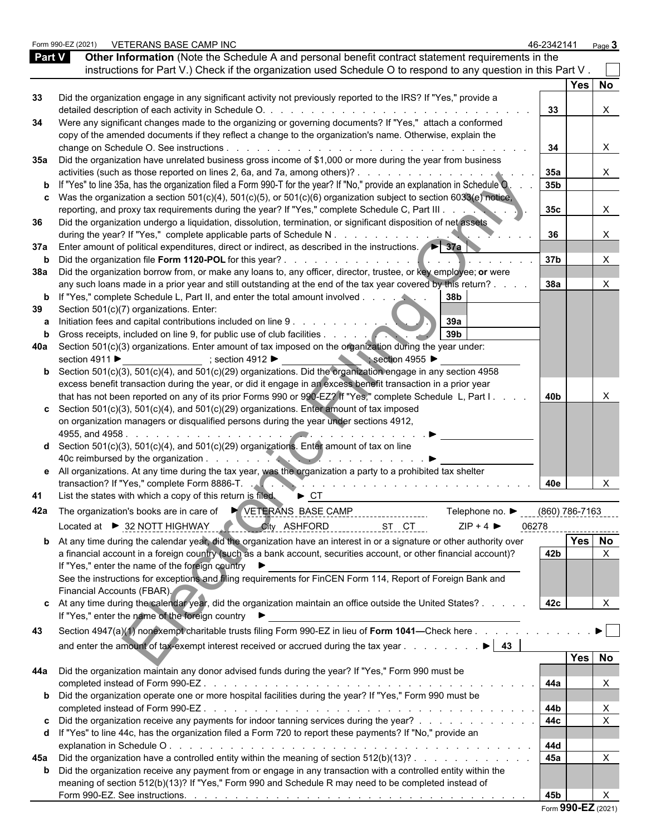|               | Form 990-EZ (2021) | VETERANS BASE CAMP INC                                                                                                                                                                                                                                              | 46-2342141      |                | Page $3$              |  |
|---------------|--------------------|---------------------------------------------------------------------------------------------------------------------------------------------------------------------------------------------------------------------------------------------------------------------|-----------------|----------------|-----------------------|--|
| <b>Part V</b> |                    | Other Information (Note the Schedule A and personal benefit contract statement requirements in the                                                                                                                                                                  |                 |                |                       |  |
|               |                    | instructions for Part V.) Check if the organization used Schedule O to respond to any question in this Part V.                                                                                                                                                      |                 |                |                       |  |
|               |                    |                                                                                                                                                                                                                                                                     |                 | Yes   No       |                       |  |
| 33            |                    | Did the organization engage in any significant activity not previously reported to the IRS? If "Yes," provide a                                                                                                                                                     |                 |                |                       |  |
|               |                    |                                                                                                                                                                                                                                                                     | 33              |                | $\times$              |  |
| 34            |                    | Were any significant changes made to the organizing or governing documents? If "Yes," attach a conformed                                                                                                                                                            |                 |                |                       |  |
|               |                    | copy of the amended documents if they reflect a change to the organization's name. Otherwise, explain the                                                                                                                                                           |                 |                |                       |  |
|               |                    |                                                                                                                                                                                                                                                                     | 34              |                | X                     |  |
|               |                    | 35a Did the organization have unrelated business gross income of \$1,000 or more during the year from business                                                                                                                                                      |                 |                |                       |  |
|               |                    | activities (such as those reported on lines 2, 6a, and 7a, among others)?                                                                                                                                                                                           | 35a             |                | X                     |  |
|               |                    | <b>b</b> If "Yes" to line 35a, has the organization filed a Form 990-T for the year? If "No," provide an explanation in Schedule O.                                                                                                                                 | 35 <sub>b</sub> |                |                       |  |
|               |                    | c Was the organization a section $501(c)(4)$ , $501(c)(5)$ , or $501(c)(6)$ organization subject to section $6033(e)$ notice,                                                                                                                                       |                 |                |                       |  |
|               |                    | reporting, and proxy tax requirements during the year? If "Yes," complete Schedule C, Part III                                                                                                                                                                      | 35 <sub>c</sub> |                | X.                    |  |
| 36            |                    | Did the organization undergo a liquidation, dissolution, termination, or significant disposition of net assets<br>during the year? If "Yes," complete applicable parts of Schedule N.                                                                               | 36              |                |                       |  |
|               |                    | 37a Enter amount of political expenditures, direct or indirect, as described in the instructions.                                                                                                                                                                   |                 |                |                       |  |
|               |                    |                                                                                                                                                                                                                                                                     | 37b             |                |                       |  |
|               |                    | 38a Did the organization borrow from, or make any loans to, any officer, director, trustee, or key employee; or were                                                                                                                                                |                 |                |                       |  |
|               |                    | any such loans made in a prior year and still outstanding at the end of the tax year covered by this return?.                                                                                                                                                       | 38a             |                |                       |  |
|               |                    | <b>b</b> If "Yes," complete Schedule L, Part II, and enter the total amount involved<br>38b                                                                                                                                                                         |                 |                |                       |  |
| 39            |                    | Section 501(c)(7) organizations. Enter:                                                                                                                                                                                                                             |                 |                |                       |  |
| а             |                    | 39a<br>Initiation fees and capital contributions included on line 9.                                                                                                                                                                                                |                 |                |                       |  |
| b             |                    | 39 <sub>b</sub>                                                                                                                                                                                                                                                     |                 |                |                       |  |
|               |                    | 40a Section 501(c)(3) organizations. Enter amount of tax imposed on the organization during the year under:                                                                                                                                                         |                 |                |                       |  |
|               | section 4911 ▶     | section 4955<br>$;$ section 4912                                                                                                                                                                                                                                    |                 |                |                       |  |
|               |                    | <b>b</b> Section 501(c)(3), 501(c)(4), and 501(c)(29) organizations. Did the organization engage in any section 4958                                                                                                                                                |                 |                |                       |  |
|               |                    | excess benefit transaction during the year, or did it engage in an excess benefit transaction in a prior year                                                                                                                                                       |                 |                |                       |  |
|               |                    | that has not been reported on any of its prior Forms 990 or 990-EZ? If "Yes," complete Schedule L, Part I.                                                                                                                                                          | 40b             |                |                       |  |
|               |                    | c Section 501(c)(3), 501(c)(4), and 501(c)(29) organizations. Enter amount of tax imposed                                                                                                                                                                           |                 |                |                       |  |
|               |                    | on organization managers or disqualified persons during the year under sections 4912,                                                                                                                                                                               |                 |                |                       |  |
|               |                    | 4955, and 4958                                                                                                                                                                                                                                                      |                 |                |                       |  |
|               |                    | <b>d</b> Section $501(c)(3)$ , $501(c)(4)$ , and $501(c)(29)$ organizations. Enter amount of tax on line                                                                                                                                                            |                 |                |                       |  |
|               |                    |                                                                                                                                                                                                                                                                     |                 |                |                       |  |
|               |                    | e All organizations. At any time during the tax year, was the organization a party to a prohibited tax shelter                                                                                                                                                      |                 |                |                       |  |
| 41            |                    | transaction? If "Yes," complete Form 8886-T.<br>List the states with which a copy of this return is filed.<br>$\triangleright$ CT                                                                                                                                   | 40e             |                |                       |  |
|               |                    |                                                                                                                                                                                                                                                                     |                 |                |                       |  |
| 42a           |                    | The organization's books are in care of<br>YETERANS BASE CAMP<br>Telephone no. ▶                                                                                                                                                                                    |                 | (860) 786-7163 |                       |  |
|               |                    | Located at ▶ 32 NOTT HIGHWAY<br>City ASHFORD<br>$ZIP + 4$<br>ST CT                                                                                                                                                                                                  | 06278           |                |                       |  |
|               |                    | <b>b</b> At any time during the calendar year, did the organization have an interest in or a signature or other authority over                                                                                                                                      |                 | Yes   No       |                       |  |
|               |                    | a financial account in a foreign country (such as a bank account, securities account, or other financial account)?                                                                                                                                                  | 42b             |                |                       |  |
|               |                    | If "Yes," enter the name of the foreign country                                                                                                                                                                                                                     |                 |                |                       |  |
|               |                    | See the instructions for exceptions and filing requirements for FinCEN Form 114, Report of Foreign Bank and                                                                                                                                                         |                 |                |                       |  |
|               |                    | Financial Accounts (FBAR).                                                                                                                                                                                                                                          |                 |                |                       |  |
|               |                    | c At any time during the calendar year, did the organization maintain an office outside the United States?.                                                                                                                                                         | 42c             |                | $\times$              |  |
|               |                    | If "Yes," enter the name of the foreign country                                                                                                                                                                                                                     |                 |                |                       |  |
| 43            |                    | Section 4947(a)(1) nonexempt charitable trusts filing Form 990-EZ in lieu of Form 1041-Check here                                                                                                                                                                   |                 |                | $\blacktriangleright$ |  |
|               |                    | and enter the amount of tax-exempt interest received or accrued during the tax year<br>43<br>$\blacktriangleright$ 1                                                                                                                                                |                 |                |                       |  |
|               |                    |                                                                                                                                                                                                                                                                     |                 | Yes   No       |                       |  |
|               |                    | 44a Did the organization maintain any donor advised funds during the year? If "Yes," Form 990 must be                                                                                                                                                               |                 |                |                       |  |
|               |                    | completed instead of Form 990-EZ.<br>and the contract of the contract of the contract of the contract of the contract of the contract of the contract of the contract of the contract of the contract of the contract of the contract of the contract of the contra | 44a             |                |                       |  |
|               |                    | <b>b</b> Did the organization operate one or more hospital facilities during the year? If "Yes," Form 990 must be                                                                                                                                                   |                 |                |                       |  |
|               |                    | completed instead of Form 990-EZ.<br>and a constitution of the constitution of the constitution of the constitution of                                                                                                                                              | 44b             |                | $\times$              |  |
|               |                    | c Did the organization receive any payments for indoor tanning services during the year?                                                                                                                                                                            | 44c             |                |                       |  |
|               |                    | d If "Yes" to line 44c, has the organization filed a Form 720 to report these payments? If "No," provide an                                                                                                                                                         |                 |                |                       |  |
|               |                    |                                                                                                                                                                                                                                                                     | 44d             |                |                       |  |
|               |                    | 45a Did the organization have a controlled entity within the meaning of section $512(b)(13)?$ .                                                                                                                                                                     | 45a             |                |                       |  |
|               |                    | <b>b</b> Did the organization receive any payment from or engage in any transaction with a controlled entity within the<br>meaning of section 512(b)(13)? If "Yes," Form 990 and Schedule R may need to be completed instead of                                     |                 |                |                       |  |
|               |                    |                                                                                                                                                                                                                                                                     | 45b             |                |                       |  |
|               |                    |                                                                                                                                                                                                                                                                     |                 |                |                       |  |

| Form 990-EZ (2021) |  |  |
|--------------------|--|--|
|--------------------|--|--|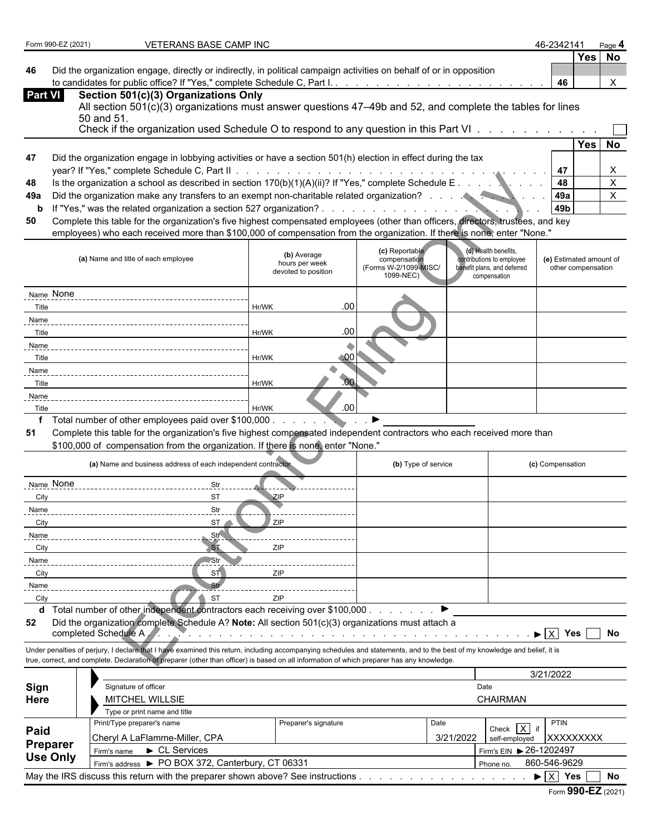| Form 990-EZ (2021) |  |
|--------------------|--|
|--------------------|--|

**Preparer**

**FORM 990-EXAMP INC 46-2342141 Page 1202101 1202101 1203101 1203101 1203101 120401 120401 120401 120401 120401** 

**46** Did the organization engage, directly or indirectly, in political campaign activities on behalf of or in opposition to candidates for public office? If "Yes," complete Schedule C, Part I. . . . . . . . . . . . . . . . . . . . . . . . . . . . . . . . . . . . . . . . . . . . **46** X

| <b>Part VI</b> | Section 501(c)(3) Organizations Only                                                                       |          |  |
|----------------|------------------------------------------------------------------------------------------------------------|----------|--|
|                | All section 501(c)(3) organizations must answer questions 47–49b and 52, and complete the tables for lines |          |  |
|                | 50 and 51<br>Check if the organization used Schedule O to respond to any question in this Part VI          |          |  |
|                |                                                                                                            | Yes   No |  |

| 47 | Did the organization engage in lobbying activities or have a section 501(h) election in effect during the tax |  |  |
|----|---------------------------------------------------------------------------------------------------------------|--|--|
|    | vear? If "Yes." complete Schedule C. Part II.                                                                 |  |  |

| $\ldots$ ) $\Omega$ . If $\Gamma\vee\Gamma$<br>48<br>70(b)<br>V(1)(A)(n)<br>Sched<br>scribed in<br>, caction<br>™lle F<br>complete<br>∗ th.<br>۷۵۰ ت<br>as de<br>™afion ∠<br>organiza<br>s conool<br><b>SCULIU</b> |  |  | <b>ЛЯ</b> |  |  |  |
|--------------------------------------------------------------------------------------------------------------------------------------------------------------------------------------------------------------------|--|--|-----------|--|--|--|
|--------------------------------------------------------------------------------------------------------------------------------------------------------------------------------------------------------------------|--|--|-----------|--|--|--|

- **49a** Did the organization make any transfers to an exempt non-charitable related organization? . . . . . . . . . . . . . . . 49a
- **b** If "Yes," was the related organization a section 527 organization? . . . . . . . . . . . . . . . . . . . . . . . . . . . . . . . . . . . . . . . . . . . . **49b**

| (a) Name and title of each employee                                                            | (b) Average<br>hours per week<br>devoted to position | (c) Reportable<br>compensation<br>(Forms W-2/1099-MISC/<br>1099-NEC) | (d) Health benefits,<br>contributions to employee<br>benefit plans, and deferred<br>compensation | (e) Estimated amount of<br>other compensation |
|------------------------------------------------------------------------------------------------|------------------------------------------------------|----------------------------------------------------------------------|--------------------------------------------------------------------------------------------------|-----------------------------------------------|
| Name None                                                                                      |                                                      |                                                                      |                                                                                                  |                                               |
| Title                                                                                          | .00 <sub>1</sub><br>Hr/WK                            |                                                                      |                                                                                                  |                                               |
| Name                                                                                           |                                                      |                                                                      |                                                                                                  |                                               |
| Title                                                                                          | .00<br>Hr/WK                                         |                                                                      |                                                                                                  |                                               |
| Name                                                                                           |                                                      |                                                                      |                                                                                                  |                                               |
| Title                                                                                          | .00<br>Hr/WK                                         |                                                                      |                                                                                                  |                                               |
| Name                                                                                           |                                                      |                                                                      |                                                                                                  |                                               |
| Title                                                                                          | .00<br>Hr/WK                                         |                                                                      |                                                                                                  |                                               |
| Name                                                                                           |                                                      |                                                                      |                                                                                                  |                                               |
| Title                                                                                          | .00<br>Hr/WK                                         |                                                                      |                                                                                                  |                                               |
| $\tau$ , the boundary of the company of the state of the state of $\theta$ and $\theta$<br>. . |                                                      |                                                                      |                                                                                                  |                                               |

|       |                                                                                                                                                                                                                                                                                                                          |                 |                                                                                                            |                                                                                                                 |           |                                                                                                  | T 1                                           | $\lambda$   |  |
|-------|--------------------------------------------------------------------------------------------------------------------------------------------------------------------------------------------------------------------------------------------------------------------------------------------------------------------------|-----------------|------------------------------------------------------------------------------------------------------------|-----------------------------------------------------------------------------------------------------------------|-----------|--------------------------------------------------------------------------------------------------|-----------------------------------------------|-------------|--|
| 48    | Is the organization a school as described in section $170(b)(1)(A)(ii)?$ If "Yes," complete Schedule E                                                                                                                                                                                                                   |                 |                                                                                                            |                                                                                                                 |           |                                                                                                  | 48                                            | $\mathsf X$ |  |
| 49a   | Did the organization make any transfers to an exempt non-charitable related organization?                                                                                                                                                                                                                                |                 |                                                                                                            |                                                                                                                 |           |                                                                                                  | 49a                                           | $\mathsf X$ |  |
| b     | If "Yes," was the related organization a section 527 organization?.                                                                                                                                                                                                                                                      |                 |                                                                                                            | the contract of the contract of the contract of the contract of the contract of the contract of the contract of |           |                                                                                                  | 49 <sub>b</sub>                               |             |  |
| 50    | Complete this table for the organization's five highest compensated employees (other than officers, directors, trustees, and key                                                                                                                                                                                         |                 |                                                                                                            |                                                                                                                 |           |                                                                                                  |                                               |             |  |
|       | employees) who each received more than \$100,000 of compensation from the organization. If there is none, enter "None."                                                                                                                                                                                                  |                 |                                                                                                            |                                                                                                                 |           |                                                                                                  |                                               |             |  |
|       | (a) Name and title of each employee                                                                                                                                                                                                                                                                                      |                 | (b) Average<br>hours per week<br>devoted to position                                                       | (c) Reportable<br>compensation<br>(Forms W-2/1099-MISC/<br>1099-NEC)                                            |           | (d) Health benefits.<br>contributions to employee<br>benefit plans, and deferred<br>compensation | (e) Estimated amount of<br>other compensation |             |  |
|       | Name None                                                                                                                                                                                                                                                                                                                |                 |                                                                                                            |                                                                                                                 |           |                                                                                                  |                                               |             |  |
| Title |                                                                                                                                                                                                                                                                                                                          |                 | .00<br>Hr/WK                                                                                               |                                                                                                                 |           |                                                                                                  |                                               |             |  |
| Name  |                                                                                                                                                                                                                                                                                                                          |                 |                                                                                                            |                                                                                                                 |           |                                                                                                  |                                               |             |  |
| Title |                                                                                                                                                                                                                                                                                                                          |                 | .00<br>Hr/WK                                                                                               |                                                                                                                 |           |                                                                                                  |                                               |             |  |
| Name  |                                                                                                                                                                                                                                                                                                                          |                 |                                                                                                            |                                                                                                                 |           |                                                                                                  |                                               |             |  |
| Title |                                                                                                                                                                                                                                                                                                                          |                 | $-00$<br>Hr/WK                                                                                             |                                                                                                                 |           |                                                                                                  |                                               |             |  |
| Name  |                                                                                                                                                                                                                                                                                                                          |                 |                                                                                                            |                                                                                                                 |           |                                                                                                  |                                               |             |  |
| Title |                                                                                                                                                                                                                                                                                                                          |                 | .00<br>Hr/WK                                                                                               |                                                                                                                 |           |                                                                                                  |                                               |             |  |
| Name  |                                                                                                                                                                                                                                                                                                                          |                 |                                                                                                            |                                                                                                                 |           |                                                                                                  |                                               |             |  |
| Title |                                                                                                                                                                                                                                                                                                                          |                 | .00<br>Hr/WK                                                                                               |                                                                                                                 |           |                                                                                                  |                                               |             |  |
| f     | Total number of other employees paid over \$100,000.                                                                                                                                                                                                                                                                     |                 |                                                                                                            |                                                                                                                 |           |                                                                                                  |                                               |             |  |
| 51    | Complete this table for the organization's five highest compensated independent contractors who each received more than                                                                                                                                                                                                  |                 |                                                                                                            |                                                                                                                 |           |                                                                                                  |                                               |             |  |
|       | \$100,000 of compensation from the organization. If there is none, enter "None."                                                                                                                                                                                                                                         |                 |                                                                                                            |                                                                                                                 |           |                                                                                                  |                                               |             |  |
|       | (a) Name and business address of each independent contractor                                                                                                                                                                                                                                                             |                 |                                                                                                            | (b) Type of service                                                                                             |           |                                                                                                  | (c) Compensation                              |             |  |
|       | Name None                                                                                                                                                                                                                                                                                                                | Str             |                                                                                                            |                                                                                                                 |           |                                                                                                  |                                               |             |  |
| City  |                                                                                                                                                                                                                                                                                                                          | ST              | ZIP                                                                                                        |                                                                                                                 |           |                                                                                                  |                                               |             |  |
| Name  |                                                                                                                                                                                                                                                                                                                          | Str             |                                                                                                            |                                                                                                                 |           |                                                                                                  |                                               |             |  |
| City  |                                                                                                                                                                                                                                                                                                                          | ST              | ZIP                                                                                                        |                                                                                                                 |           |                                                                                                  |                                               |             |  |
| Name  |                                                                                                                                                                                                                                                                                                                          | Str             |                                                                                                            |                                                                                                                 |           |                                                                                                  |                                               |             |  |
| City  |                                                                                                                                                                                                                                                                                                                          | ST              | ZIP                                                                                                        |                                                                                                                 |           |                                                                                                  |                                               |             |  |
| Name  |                                                                                                                                                                                                                                                                                                                          | Str             |                                                                                                            |                                                                                                                 |           |                                                                                                  |                                               |             |  |
| City  |                                                                                                                                                                                                                                                                                                                          | ST <sub>1</sub> | ZIP                                                                                                        |                                                                                                                 |           |                                                                                                  |                                               |             |  |
| Name  |                                                                                                                                                                                                                                                                                                                          | Str             |                                                                                                            |                                                                                                                 |           |                                                                                                  |                                               |             |  |
| City  |                                                                                                                                                                                                                                                                                                                          | <b>ST</b>       | ZIP                                                                                                        |                                                                                                                 |           |                                                                                                  |                                               |             |  |
|       | d Total number of other independent contractors each receiving over \$100,000                                                                                                                                                                                                                                            |                 |                                                                                                            |                                                                                                                 |           |                                                                                                  |                                               |             |  |
| 52    | Did the organization complete Schedule A? Note: All section 501(c)(3) organizations must attach a<br>completed Schedule A.                                                                                                                                                                                               |                 | المناصر والمناور والمناور والمناور والمناور والمناور والمناور والمناور والمناور والمناور والمناور والمناور |                                                                                                                 |           |                                                                                                  | $\blacktriangleright$ $\overline{X}$ Yes      | <b>No</b>   |  |
|       | Under penalties of perjury, I declare that I have examined this return, including accompanying schedules and statements, and to the best of my knowledge and belief, it is<br>true, correct, and complete. Declaration of preparer (other than officer) is based on all information of which preparer has any knowledge. |                 |                                                                                                            |                                                                                                                 |           |                                                                                                  |                                               |             |  |
|       |                                                                                                                                                                                                                                                                                                                          | 3/21/2022       |                                                                                                            |                                                                                                                 |           |                                                                                                  |                                               |             |  |
| Sign  | Signature of officer                                                                                                                                                                                                                                                                                                     |                 |                                                                                                            |                                                                                                                 |           | Date                                                                                             |                                               |             |  |
| Here  | MITCHEL WILLSIE                                                                                                                                                                                                                                                                                                          |                 |                                                                                                            | CHAIRMAN                                                                                                        |           |                                                                                                  |                                               |             |  |
|       | Type or print name and title                                                                                                                                                                                                                                                                                             |                 |                                                                                                            |                                                                                                                 |           |                                                                                                  |                                               |             |  |
|       | Print/Type preparer's name                                                                                                                                                                                                                                                                                               |                 | Preparer's signature                                                                                       |                                                                                                                 | Date      | Check $\overline{X}$ if                                                                          | PTIN                                          |             |  |
| Paid  | Cheryl A LaFlamme-Miller, CPA                                                                                                                                                                                                                                                                                            |                 |                                                                                                            |                                                                                                                 | 3/21/2022 | self-employed                                                                                    | <b>XXXXXXXXX</b>                              |             |  |

| I GNAI GI                                                                                         | Services<br>$\cdot$ rm's name                       | $.26 - 1202497$<br>Firm's EIN |  |  |  |  |  |
|---------------------------------------------------------------------------------------------------|-----------------------------------------------------|-------------------------------|--|--|--|--|--|
| <b>Use Only</b>                                                                                   | CT 06331<br>PO BOX 372. Canterbury.<br>rm's address | 860-546-9629<br>Phone no      |  |  |  |  |  |
| May the IRS<br>No<br>S discuss this return with the preparer shown above? See instructions<br>Yes |                                                     |                               |  |  |  |  |  |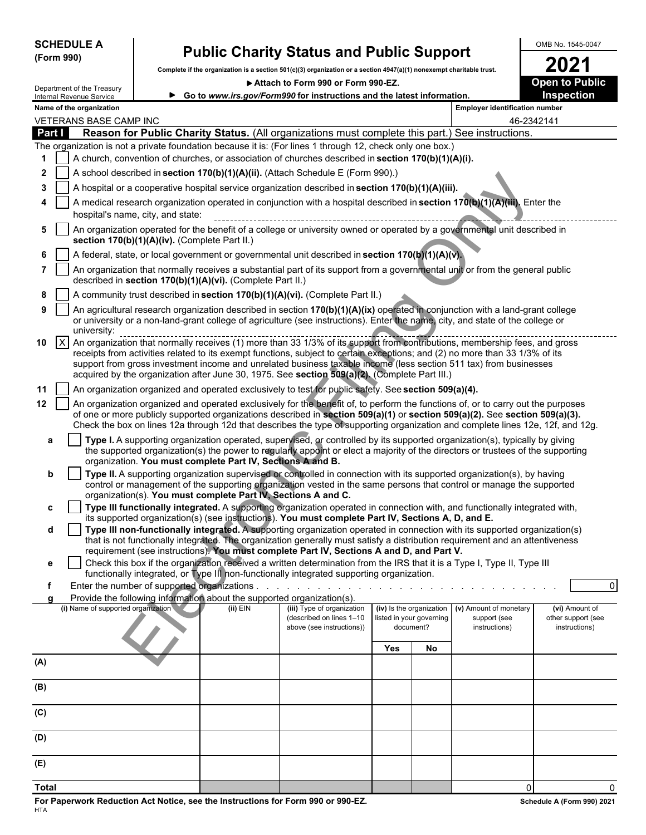| <b>SCHEDULE</b> |  |
|-----------------|--|
| (Form 990)      |  |

# **SCHEDULE A Public Charity Status and Public Support**  $\begin{array}{|c|c|c|c|}\n\hline\n\text{GMB NO. 1545-0047} & \text{Pubble if the organization is a section 501(c)/3) organization or a section 4947(a)/1) property that the truth.}\n\end{array}$

Complete if the organization is a section 501(c)(3) organization or a section 4947(a)(1) nonexempt charitable trust.<br> **2021** • Attach to Form 990 or Form 990-EZ.

▶ Attach to Form 990 or Form 990-EZ.

|                    | Department of the Treasury<br>Internal Revenue Service |                                               |                                                                                      | P Allach to Form 990 or Form 990-EZ<br>► Go to www.irs.gov/Form990 for instructions and the latest information.                                                                                                                                                                                                                                                                                                                                                                  |     |                                       |                                | Open to Fublic<br>Inspection                          |
|--------------------|--------------------------------------------------------|-----------------------------------------------|--------------------------------------------------------------------------------------|----------------------------------------------------------------------------------------------------------------------------------------------------------------------------------------------------------------------------------------------------------------------------------------------------------------------------------------------------------------------------------------------------------------------------------------------------------------------------------|-----|---------------------------------------|--------------------------------|-------------------------------------------------------|
|                    | Name of the organization                               |                                               |                                                                                      |                                                                                                                                                                                                                                                                                                                                                                                                                                                                                  |     |                                       | Employer identification number |                                                       |
|                    | VETERANS BASE CAMP INC                                 |                                               |                                                                                      |                                                                                                                                                                                                                                                                                                                                                                                                                                                                                  |     |                                       |                                | 46-2342141                                            |
| Part I             |                                                        |                                               |                                                                                      | Reason for Public Charity Status. (All organizations must complete this part.) See instructions.                                                                                                                                                                                                                                                                                                                                                                                 |     |                                       |                                |                                                       |
|                    |                                                        |                                               |                                                                                      | The organization is not a private foundation because it is: (For lines 1 through 12, check only one box.)                                                                                                                                                                                                                                                                                                                                                                        |     |                                       |                                |                                                       |
|                    |                                                        |                                               |                                                                                      | A church, convention of churches, or association of churches described in section 170(b)(1)(A)(i).                                                                                                                                                                                                                                                                                                                                                                               |     |                                       |                                |                                                       |
| 2                  |                                                        |                                               |                                                                                      | A school described in section 170(b)(1)(A)(ii). (Attach Schedule E (Form 990).)                                                                                                                                                                                                                                                                                                                                                                                                  |     |                                       |                                |                                                       |
| 3                  |                                                        |                                               |                                                                                      | A hospital or a cooperative hospital service organization described in section 170(b)(1)(A)(iii).                                                                                                                                                                                                                                                                                                                                                                                |     |                                       |                                |                                                       |
|                    |                                                        | hospital's name, city, and state:             |                                                                                      | A medical research organization operated in conjunction with a hospital described in section 170(b)(1)(A)(iii). Enter the                                                                                                                                                                                                                                                                                                                                                        |     |                                       |                                |                                                       |
| 5                  |                                                        | section 170(b)(1)(A)(iv). (Complete Part II.) |                                                                                      | An organization operated for the benefit of a college or university owned or operated by a governmental unit described in                                                                                                                                                                                                                                                                                                                                                        |     |                                       |                                |                                                       |
|                    |                                                        |                                               |                                                                                      | A federal, state, or local government or governmental unit described in section 170(b)(1)(A)(v).                                                                                                                                                                                                                                                                                                                                                                                 |     |                                       |                                |                                                       |
|                    |                                                        |                                               | described in section 170(b)(1)(A)(vi). (Complete Part II.)                           | An organization that normally receives a substantial part of its support from a governmental unit or from the general public                                                                                                                                                                                                                                                                                                                                                     |     |                                       |                                |                                                       |
| 8                  |                                                        |                                               |                                                                                      | A community trust described in section 170(b)(1)(A)(vi). (Complete Part II.)                                                                                                                                                                                                                                                                                                                                                                                                     |     |                                       |                                |                                                       |
| 9                  | university:                                            |                                               |                                                                                      | An agricultural research organization described in section 170(b)(1)(A)(ix) operated in conjunction with a land-grant college<br>or university or a non-land-grant college of agriculture (see instructions). Enter the name, city, and state of the college or                                                                                                                                                                                                                  |     |                                       |                                |                                                       |
| $\mathsf{X}$<br>10 |                                                        |                                               |                                                                                      | An organization that normally receives (1) more than 33 1/3% of its support from contributions, membership fees, and gross<br>receipts from activities related to its exempt functions, subject to certain exceptions; and (2) no more than 33 1/3% of its<br>support from gross investment income and unrelated business taxable income (less section 511 tax) from businesses<br>acquired by the organization after June 30, 1975. See section 509(a)(2). (Complete Part III.) |     |                                       |                                |                                                       |
| 11                 |                                                        |                                               |                                                                                      | An organization organized and operated exclusively to test for public safety. See section 509(a)(4).                                                                                                                                                                                                                                                                                                                                                                             |     |                                       |                                |                                                       |
| 12                 |                                                        |                                               |                                                                                      | An organization organized and operated exclusively for the benefit of, to perform the functions of, or to carry out the purposes<br>of one or more publicly supported organizations described in section 509(a)(1) or section 509(a)(2). See section 509(a)(3).                                                                                                                                                                                                                  |     |                                       |                                |                                                       |
|                    |                                                        |                                               |                                                                                      | Check the box on lines 12a through 12d that describes the type of supporting organization and complete lines 12e, 12f, and 12g.                                                                                                                                                                                                                                                                                                                                                  |     |                                       |                                |                                                       |
| a                  |                                                        |                                               |                                                                                      | Type I. A supporting organization operated, supervised, or controlled by its supported organization(s), typically by giving<br>the supported organization(s) the power to regularly appoint or elect a majority of the directors or trustees of the supporting                                                                                                                                                                                                                   |     |                                       |                                |                                                       |
|                    |                                                        |                                               | organization. You must complete Part IV, Sections A and B.                           |                                                                                                                                                                                                                                                                                                                                                                                                                                                                                  |     |                                       |                                |                                                       |
| b                  |                                                        |                                               | organization(s). You must complete Part IV, Sections A and C.                        | Type II. A supporting organization supervised or controlled in connection with its supported organization(s), by having<br>control or management of the supporting organization vested in the same persons that control or manage the supported                                                                                                                                                                                                                                  |     |                                       |                                |                                                       |
| c                  |                                                        |                                               |                                                                                      | Type III functionally integrated. A supporting organization operated in connection with, and functionally integrated with,                                                                                                                                                                                                                                                                                                                                                       |     |                                       |                                |                                                       |
|                    |                                                        |                                               |                                                                                      | its supported organization(s) (see instructions). You must complete Part IV, Sections A, D, and E.                                                                                                                                                                                                                                                                                                                                                                               |     |                                       |                                |                                                       |
| d                  |                                                        |                                               |                                                                                      | Type III non-functionally integrated. A supporting organization operated in connection with its supported organization(s)<br>that is not functionally integrated. The organization generally must satisfy a distribution requirement and an attentiveness                                                                                                                                                                                                                        |     |                                       |                                |                                                       |
|                    |                                                        |                                               |                                                                                      | requirement (see instructions). You must complete Part IV, Sections A and D, and Part V.                                                                                                                                                                                                                                                                                                                                                                                         |     |                                       |                                |                                                       |
| е                  |                                                        |                                               |                                                                                      | Check this box if the organization received a written determination from the IRS that it is a Type I, Type II, Type III<br>functionally integrated, or Type III non-functionally integrated supporting organization.                                                                                                                                                                                                                                                             |     |                                       |                                |                                                       |
|                    |                                                        |                                               |                                                                                      |                                                                                                                                                                                                                                                                                                                                                                                                                                                                                  |     |                                       |                                | $\Omega$                                              |
| a                  | (i) Name of supported organization                     |                                               | Provide the following information about the supported organization(s).<br>$(ii)$ EIN |                                                                                                                                                                                                                                                                                                                                                                                                                                                                                  |     | (iv) Is the organization              | (v) Amount of monetary         |                                                       |
|                    |                                                        |                                               |                                                                                      | (iii) Type of organization<br>(described on lines 1-10<br>above (see instructions))                                                                                                                                                                                                                                                                                                                                                                                              |     | listed in your governing<br>document? | support (see<br>instructions)  | (vi) Amount of<br>other support (see<br>instructions) |
|                    |                                                        |                                               |                                                                                      |                                                                                                                                                                                                                                                                                                                                                                                                                                                                                  | Yes | No                                    |                                |                                                       |
| (A)                |                                                        |                                               |                                                                                      |                                                                                                                                                                                                                                                                                                                                                                                                                                                                                  |     |                                       |                                |                                                       |
| (B)                |                                                        |                                               |                                                                                      |                                                                                                                                                                                                                                                                                                                                                                                                                                                                                  |     |                                       |                                |                                                       |
|                    |                                                        |                                               |                                                                                      |                                                                                                                                                                                                                                                                                                                                                                                                                                                                                  |     |                                       |                                |                                                       |
| (C)                |                                                        |                                               |                                                                                      |                                                                                                                                                                                                                                                                                                                                                                                                                                                                                  |     |                                       |                                |                                                       |
| (D)                |                                                        |                                               |                                                                                      |                                                                                                                                                                                                                                                                                                                                                                                                                                                                                  |     |                                       |                                |                                                       |
| (E)                |                                                        |                                               |                                                                                      |                                                                                                                                                                                                                                                                                                                                                                                                                                                                                  |     |                                       |                                |                                                       |
| <b>Total</b>       |                                                        |                                               |                                                                                      |                                                                                                                                                                                                                                                                                                                                                                                                                                                                                  |     |                                       | $\mathbf 0$                    |                                                       |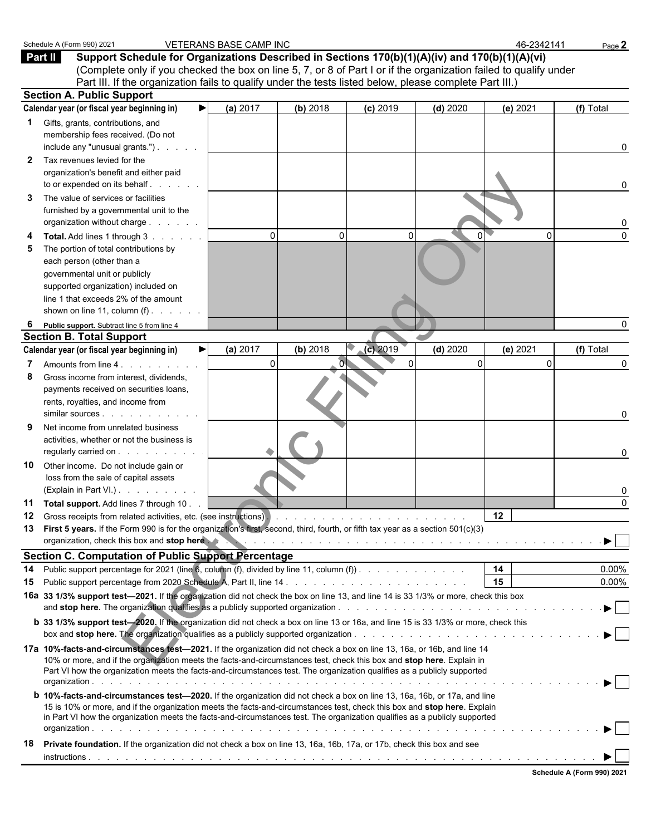|          | Schedule A (Form 990) 2021                                                                                                                                                                                                                                                                                                                                                        | <b>VETERANS BASE CAMP INC</b> |              |             |            | 46-2342141   | Page 2    |
|----------|-----------------------------------------------------------------------------------------------------------------------------------------------------------------------------------------------------------------------------------------------------------------------------------------------------------------------------------------------------------------------------------|-------------------------------|--------------|-------------|------------|--------------|-----------|
|          | Part II<br>Support Schedule for Organizations Described in Sections 170(b)(1)(A)(iv) and 170(b)(1)(A)(vi)<br>(Complete only if you checked the box on line 5, 7, or 8 of Part I or if the organization failed to qualify under<br>Part III. If the organization fails to qualify under the tests listed below, please complete Part III.)                                         |                               |              |             |            |              |           |
|          | <b>Section A. Public Support</b>                                                                                                                                                                                                                                                                                                                                                  |                               |              |             |            |              |           |
|          | Calendar year (or fiscal year beginning in)                                                                                                                                                                                                                                                                                                                                       | ▶<br>(a) 2017                 | (b) 2018     | (c) 2019    | $(d)$ 2020 | (e) 2021     | (f) Total |
| 1<br>2   | Gifts, grants, contributions, and<br>membership fees received. (Do not<br>include any "unusual grants.")<br>Tax revenues levied for the                                                                                                                                                                                                                                           |                               |              |             |            |              | 0         |
|          | organization's benefit and either paid<br>to or expended on its behalf                                                                                                                                                                                                                                                                                                            |                               |              |             |            |              | 0         |
| 3        | The value of services or facilities<br>furnished by a governmental unit to the<br>organization without charge                                                                                                                                                                                                                                                                     |                               |              |             |            |              | 0         |
| 5        | Total. Add lines 1 through 3<br>The portion of total contributions by<br>each person (other than a<br>governmental unit or publicly<br>supported organization) included on<br>line 1 that exceeds 2% of the amount<br>shown on line 11, column $(f)$ .                                                                                                                            | $\mathbf 0$                   | $\mathbf{0}$ | $\mathbf 0$ | 0          | $\mathbf{0}$ | $\Omega$  |
| 6        | Public support. Subtract line 5 from line 4                                                                                                                                                                                                                                                                                                                                       |                               |              |             |            |              | 0         |
|          | <b>Section B. Total Support</b>                                                                                                                                                                                                                                                                                                                                                   |                               |              |             |            |              |           |
|          | Calendar year (or fiscal year beginning in)                                                                                                                                                                                                                                                                                                                                       | (a) 2017<br>▶                 | (b) 2018     | $(c)$ 2019  | $(d)$ 2020 | (e) 2021     | (f) Total |
| 8        | Amounts from line 4.<br>Gross income from interest, dividends,<br>payments received on securities loans,<br>rents, royalties, and income from                                                                                                                                                                                                                                     | $\pmb{0}$                     |              | $\mathbf 0$ | 0          | $\Omega$     | 0<br>0    |
| 9        | Net income from unrelated business<br>activities, whether or not the business is<br>regularly carried on                                                                                                                                                                                                                                                                          |                               |              |             |            |              | 0         |
| 10       | Other income. Do not include gain or<br>loss from the sale of capital assets<br>(Explain in Part VI.)                                                                                                                                                                                                                                                                             |                               |              |             |            |              | 0         |
| 11       | Total support. Add lines 7 through 10.                                                                                                                                                                                                                                                                                                                                            |                               |              |             |            |              | $\Omega$  |
| 12<br>13 | First 5 years. If the Form 990 is for the organization's first, second, third, fourth, or fifth tax year as a section 501(c)(3)<br>organization, check this box and stop here we have a series of the content of the content of the content of the content of the content of the content of the content of the content of the content of the content of the conte                 |                               |              |             |            | 12           |           |
|          | <b>Section C. Computation of Public Support Percentage</b>                                                                                                                                                                                                                                                                                                                        |                               |              |             |            |              |           |
| 14       | Public support percentage for 2021 (line 6, column (f), divided by line 11, column (f)).                                                                                                                                                                                                                                                                                          |                               |              |             |            | 14           | $0.00\%$  |
| 15       |                                                                                                                                                                                                                                                                                                                                                                                   |                               |              |             |            | 15           | $0.00\%$  |
|          | 16a 33 1/3% support test-2021. If the organization did not check the box on line 13, and line 14 is 33 1/3% or more, check this box<br><b>b</b> 33 1/3% support test-2020. If the organization did not check a box on line 13 or 16a, and line 15 is 33 1/3% or more, check this                                                                                                  |                               |              |             |            |              |           |
|          |                                                                                                                                                                                                                                                                                                                                                                                   |                               |              |             |            |              |           |
|          | 17a 10%-facts-and-circumstances test-2021. If the organization did not check a box on line 13, 16a, or 16b, and line 14<br>10% or more, and if the organization meets the facts-and-circumstances test, check this box and stop here. Explain in<br>Part VI how the organization meets the facts-and-circumstances test. The organization qualifies as a publicly supported       |                               |              |             |            |              |           |
|          | b 10%-facts-and-circumstances test-2020. If the organization did not check a box on line 13, 16a, 16b, or 17a, and line<br>15 is 10% or more, and if the organization meets the facts-and-circumstances test, check this box and stop here. Explain<br>in Part VI how the organization meets the facts-and-circumstances test. The organization qualifies as a publicly supported |                               |              |             |            |              |           |
| 18       | Private foundation. If the organization did not check a box on line 13, 16a, 16b, 17a, or 17b, check this box and see                                                                                                                                                                                                                                                             |                               |              |             |            |              |           |
|          |                                                                                                                                                                                                                                                                                                                                                                                   |                               |              |             |            |              |           |
|          |                                                                                                                                                                                                                                                                                                                                                                                   |                               |              |             |            |              |           |

| Schedule A (Form 990) 2021 |  |  |
|----------------------------|--|--|
|                            |  |  |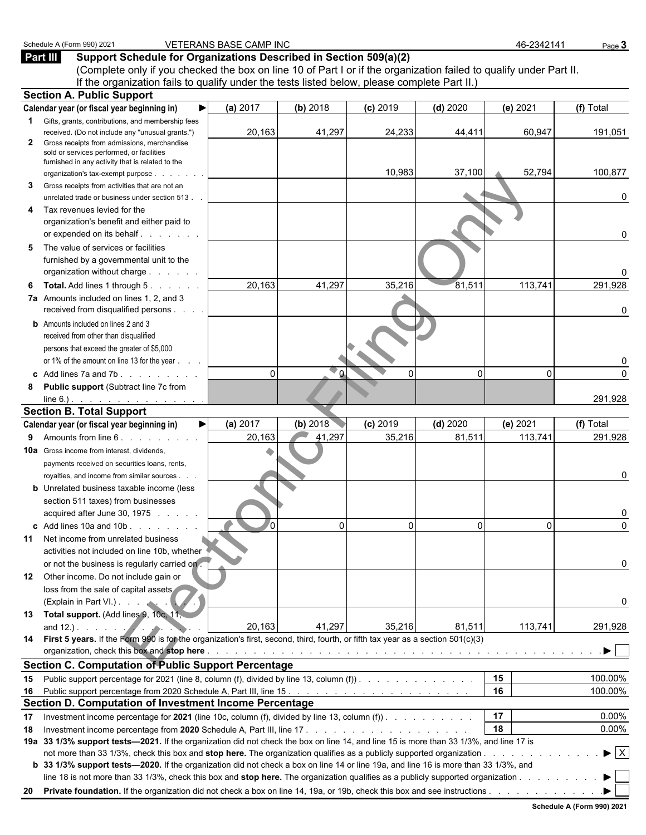| Part III          | Support Schedule for Organizations Described in Section 509(a)(2)<br>(Complete only if you checked the box on line 10 of Part I or if the organization failed to qualify under Part II.                                                                                       |            |            |            |            |          |                                               |
|-------------------|-------------------------------------------------------------------------------------------------------------------------------------------------------------------------------------------------------------------------------------------------------------------------------|------------|------------|------------|------------|----------|-----------------------------------------------|
|                   | If the organization fails to qualify under the tests listed below, please complete Part II.)                                                                                                                                                                                  |            |            |            |            |          |                                               |
|                   | <b>Section A. Public Support</b>                                                                                                                                                                                                                                              |            |            |            |            |          |                                               |
|                   | Calendar year (or fiscal year beginning in)                                                                                                                                                                                                                                   | (a) 2017   | (b) 2018   | $(c)$ 2019 | $(d)$ 2020 | (e) 2021 | (f) Total                                     |
| $\mathbf{1}$<br>2 | Gifts, grants, contributions, and membership fees<br>received. (Do not include any "unusual grants.")<br>Gross receipts from admissions, merchandise                                                                                                                          | 20,163     | 41,297     | 24,233     | 44,411     | 60,947   | 191,051                                       |
|                   | sold or services performed, or facilities                                                                                                                                                                                                                                     |            |            |            |            |          |                                               |
|                   | furnished in any activity that is related to the<br>organization's tax-exempt purpose.                                                                                                                                                                                        |            |            | 10,983     | 37,100     | 52,794   | 100,877                                       |
| 3.                | Gross receipts from activities that are not an                                                                                                                                                                                                                                |            |            |            |            |          |                                               |
|                   | unrelated trade or business under section 513.                                                                                                                                                                                                                                |            |            |            |            |          | 0                                             |
| 4                 | Tax revenues levied for the                                                                                                                                                                                                                                                   |            |            |            |            |          |                                               |
|                   | organization's benefit and either paid to<br>or expended on its behalf.                                                                                                                                                                                                       |            |            |            |            |          | 0                                             |
| 5.                | The value of services or facilities                                                                                                                                                                                                                                           |            |            |            |            |          |                                               |
|                   | furnished by a governmental unit to the<br>organization without charge                                                                                                                                                                                                        |            |            |            |            |          |                                               |
| 6.                | Total. Add lines 1 through 5.                                                                                                                                                                                                                                                 | 20,163     | 41,297     | 35,216     | 81,511     | 113,741  | 291,928                                       |
|                   | 7a Amounts included on lines 1, 2, and 3                                                                                                                                                                                                                                      |            |            |            |            |          |                                               |
|                   | received from disqualified persons                                                                                                                                                                                                                                            |            |            |            |            |          | 0                                             |
|                   | <b>b</b> Amounts included on lines 2 and 3                                                                                                                                                                                                                                    |            |            |            |            |          |                                               |
|                   | received from other than disqualified                                                                                                                                                                                                                                         |            |            |            |            |          |                                               |
|                   | persons that exceed the greater of \$5,000                                                                                                                                                                                                                                    |            |            |            |            |          |                                               |
|                   | or 1% of the amount on line 13 for the year<br>c Add lines $7a$ and $7b$ .                                                                                                                                                                                                    | $\Omega$   | ۵          | 0          | 0          | $\Omega$ | 0<br>$\Omega$                                 |
| 8                 | Public support (Subtract line 7c from                                                                                                                                                                                                                                         |            |            |            |            |          |                                               |
|                   | line 6.)                                                                                                                                                                                                                                                                      |            |            |            |            |          | 291,928                                       |
|                   | <b>Section B. Total Support</b>                                                                                                                                                                                                                                               |            |            |            |            |          |                                               |
|                   | Calendar year (or fiscal year beginning in)                                                                                                                                                                                                                                   | (a) 2017   | (b) $2018$ | $(c)$ 2019 | $(d)$ 2020 | (e) 2021 | (f) Total                                     |
| 9.                | Amounts from line 6.                                                                                                                                                                                                                                                          | 20,163     | 41,297     | 35,216     | 81,511     | 113,741  | 291,928                                       |
|                   | <b>10a</b> Gross income from interest, dividends,                                                                                                                                                                                                                             |            |            |            |            |          |                                               |
|                   | payments received on securities loans, rents,                                                                                                                                                                                                                                 |            |            |            |            |          |                                               |
|                   | royalties, and income from similar sources                                                                                                                                                                                                                                    |            |            |            |            |          | 0                                             |
|                   | <b>b</b> Unrelated business taxable income (less                                                                                                                                                                                                                              |            |            |            |            |          |                                               |
|                   | section 511 taxes) from businesses<br>acquired after June 30, 1975                                                                                                                                                                                                            |            |            |            |            |          | 0                                             |
|                   | c Add lines $10a$ and $10b$ .                                                                                                                                                                                                                                                 | $\sqrt{2}$ | 0          | 0          | 0          | 0        | 0                                             |
|                   | <b>11</b> Net income from unrelated business                                                                                                                                                                                                                                  |            |            |            |            |          |                                               |
|                   | activities not included on line 10b, whether                                                                                                                                                                                                                                  |            |            |            |            |          |                                               |
|                   | or not the business is regularly carried on.                                                                                                                                                                                                                                  |            |            |            |            |          | 0                                             |
|                   | 12 Other income. Do not include gain or                                                                                                                                                                                                                                       |            |            |            |            |          |                                               |
|                   | loss from the sale of capital assets                                                                                                                                                                                                                                          |            |            |            |            |          |                                               |
|                   | (Explain in Part VI.)                                                                                                                                                                                                                                                         |            |            |            |            |          | 0                                             |
|                   | 13 Total support. (Add lines 9, 10c, 11,                                                                                                                                                                                                                                      |            |            |            |            |          |                                               |
|                   | and $12.$ ). $\ldots$ $\ldots$ $\ldots$<br>14 First 5 years. If the Form 990 is for the organization's first, second, third, fourth, or fifth tax year as a section 501(c)(3)                                                                                                 | 20,163     | 41,297     | 35,216     | 81,511     | 113,741  | 291,928                                       |
|                   |                                                                                                                                                                                                                                                                               |            |            |            |            |          |                                               |
|                   | <b>Section C. Computation of Public Support Percentage</b>                                                                                                                                                                                                                    |            |            |            |            |          |                                               |
| 15                | Public support percentage for 2021 (line 8, column (f), divided by line 13, column (f)).                                                                                                                                                                                      |            |            |            |            | 15       | 100.00%                                       |
| 16                |                                                                                                                                                                                                                                                                               |            |            |            |            | 16       | 100.00%                                       |
|                   | Section D. Computation of Investment Income Percentage                                                                                                                                                                                                                        |            |            |            |            |          |                                               |
| 17                | Investment income percentage for 2021 (line 10c, column (f), divided by line 13, column (f)).                                                                                                                                                                                 |            |            |            |            | 17       | $0.00\%$                                      |
| 18                |                                                                                                                                                                                                                                                                               |            |            |            |            | 18       | 0.00%                                         |
|                   | 19a 33 1/3% support tests—2021. If the organization did not check the box on line 14, and line 15 is more than 33 1/3%, and line 17 is                                                                                                                                        |            |            |            |            |          |                                               |
|                   |                                                                                                                                                                                                                                                                               |            |            |            |            |          | $\blacktriangleright$ $\overline{\mathsf{X}}$ |
|                   | <b>b</b> 33 1/3% support tests—2020. If the organization did not check a box on line 14 or line 19a, and line 16 is more than 33 1/3%, and<br>line 18 is not more than 33 1/3%, check this box and stop here. The organization qualifies as a publicly supported organization |            |            |            |            |          | $\blacktriangleright$                         |
|                   |                                                                                                                                                                                                                                                                               |            |            |            |            |          |                                               |

Schedule A (Form 990) 2021 VETERANS BASE CAMP INC 46-2342141 Page 3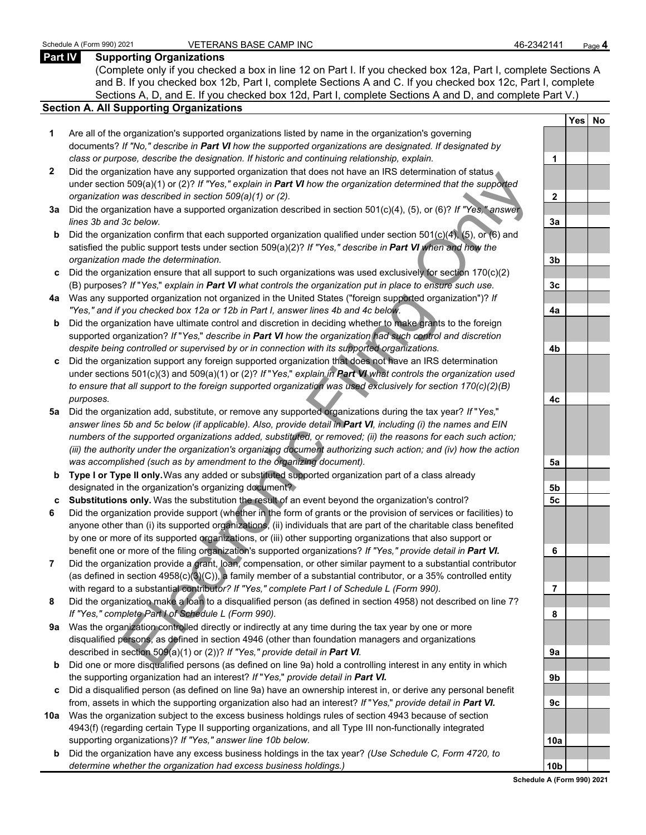#### **Part IV Supporting Organizations**

(Complete only if you checked a box in line 12 on Part I. If you checked box 12a, Part I, complete Sections A and B. If you checked box 12b, Part I, complete Sections A and C. If you checked box 12c, Part I, complete Sections A, D, and E. If you checked box 12d, Part I, complete Sections A and D, and complete Part V.)

#### **Section A. All Supporting Organizations**

- **1** Are all of the organization's supported organizations listed by name in the organization's governing documents? *If "No," describe in Part VI how the supported organizations are designated. If designated by class or purpose, describe the designation. If historic and continuing relationship, explain.* **1**
- **2** Did the organization have any supported organization that does not have an IRS determination of status under section 509(a)(1) or (2)? *If "Yes," explain in Part VI how the organization determined that the supported organization was described in section 509(a)(1) or (2).*
- **3a** Did the organization have a supported organization described in section 501(c)(4), (5), or (6)? *If "Yes," answer lines 3b and 3c below.*
- **b** Did the organization confirm that each supported organization qualified under section 501(c)(4), (5), or (6) and satisfied the public support tests under section 509(a)(2)? *If "Yes," describe in Part VI when and how the organization made the determination.* **3b**
- **c** Did the organization ensure that all support to such organizations was used exclusively for section 170(c)(2) (B) purposes? *If* "*Yes,*" *explain in Part VI what controls the organization put in place to ensure such use.* **3c**
- **4a** Was any supported organization not organized in the United States ("foreign supported organization")? *If "Yes," and if you checked box 12a or 12b in Part I, answer lines 4b and 4c below.* **4a**
- **b** Did the organization have ultimate control and discretion in deciding whether to make grants to the foreign supported organization? *If* "*Yes,*" *describe in Part VI how the organization had such control and discretion despite being controlled or supervised by or in connection with its supported organizations.* **4b**
- **c** Did the organization support any foreign supported organization that does not have an IRS determination under sections 501(c)(3) and 509(a)(1) or (2)? *If* "*Yes,*" *explain in Part VI what controls the organization used to ensure that all support to the foreign supported organization was used exclusively for section 170(c)(2)(B) purposes.* **4c**
- the<br>and interesting supported to galaxial and in the distribution and the support of the support of the support of the supported to the supported to the supported that the supported that the supported that the supported th **5a** Did the organization add, substitute, or remove any supported organizations during the tax year? *If* "*Yes,*" *answer lines 5b and 5c below (if applicable). Also, provide detail in Part VI, including (i) the names and EIN numbers of the supported organizations added, substituted, or removed; (ii) the reasons for each such action; (iii) the authority under the organization's organizing document authorizing such action; and (iv) how the action was accomplished (such as by amendment to the organizing document).* **5a**
- **b Type I or Type II only.** Was any added or substituted supported organization part of a class already designated in the organization's organizing document? **5b**
- **c Substitutions only.** Was the substitution the result of an event beyond the organization's control? **5c**
- **6** Did the organization provide support (whether in the form of grants or the provision of services or facilities) to anyone other than (i) its supported organizations, (ii) individuals that are part of the charitable class benefited by one or more of its supported organizations, or (iii) other supporting organizations that also support or benefit one or more of the filing organization's supported organizations? *If "Yes," provide detail in Part VI.* **6**
- **7** Did the organization provide a grant, loan, compensation, or other similar payment to a substantial contributor (as defined in section 4958(c)(3)(C)), a family member of a substantial contributor, or a 35% controlled entity with regard to a substantial contribut*or? If "Yes," complete Part I of Schedule L (Form 990).* **7**
- **8** Did the organization make a loan to a disqualified person (as defined in section 4958) not described on line 7? *If "Yes," complete Part I of Schedule L (Form 990).* **8**
- **9a** Was the organization controlled directly or indirectly at any time during the tax year by one or more disqualified persons, as defined in section 4946 (other than foundation managers and organizations described in section 509(a)(1) or (2))? *If "Yes," provide detail in Part VI.* **9a**
- **b** Did one or more disqualified persons (as defined on line 9a) hold a controlling interest in any entity in which the supporting organization had an interest? *If* "*Yes,*" *provide detail in Part VI.* **9b**
- **c** Did a disqualified person (as defined on line 9a) have an ownership interest in, or derive any personal benefit from, assets in which the supporting organization also had an interest? *If* "*Yes,*" *provide detail in Part VI.* **9c**
- **10a** Was the organization subject to the excess business holdings rules of section 4943 because of section 4943(f) (regarding certain Type II supporting organizations, and all Type III non-functionally integrated supporting organizations)? If "Yes," answer line 10b below.
	- **b** Did the organization have any excess business holdings in the tax year? *(Use Schedule C, Form 4720, to determine whether the organization had excess business holdings.)*

|                 | Yes | <u>No</u> |
|-----------------|-----|-----------|
|                 |     |           |
| 1               |     |           |
|                 |     |           |
| $\overline{2}$  |     |           |
|                 |     |           |
| 3a              |     |           |
|                 |     |           |
| 3 <sub>b</sub>  |     |           |
|                 |     |           |
| 3c              |     |           |
|                 |     |           |
| 4a              |     |           |
|                 |     |           |
| 4 <sub>b</sub>  |     |           |
|                 |     |           |
| 4c              |     |           |
|                 |     |           |
| 5a              |     |           |
|                 |     |           |
| <u>5b</u>       |     |           |
| 5 <u>c</u>      |     |           |
|                 |     |           |
| $6 \overline{}$ |     |           |
|                 |     |           |
| ï<br>7          |     |           |
|                 |     |           |
| 8               |     |           |
|                 |     |           |
| 9а              |     |           |
|                 |     |           |
| 9b              |     |           |
| 9c              |     |           |
|                 |     |           |
|                 |     |           |
| 10a             |     |           |
|                 |     |           |
| 0b              |     |           |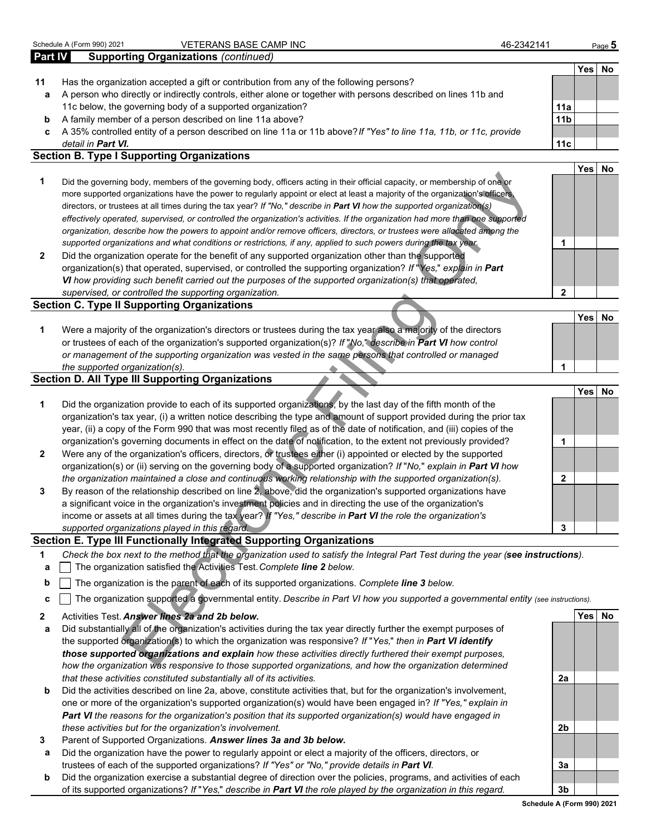|         | Schedule A (Form 990) 2021<br>VETERANS BASE CAMP INC                                                                              | 46-2342141      |            | Page 5 |
|---------|-----------------------------------------------------------------------------------------------------------------------------------|-----------------|------------|--------|
| Part IV | <b>Supporting Organizations (continued)</b>                                                                                       |                 |            |        |
|         |                                                                                                                                   |                 | <b>Yes</b> | No     |
| 11      | Has the organization accepted a gift or contribution from any of the following persons?                                           |                 |            |        |
| a       | A person who directly or indirectly controls, either alone or together with persons described on lines 11b and                    |                 |            |        |
|         | 11c below, the governing body of a supported organization?                                                                        | 11a             |            |        |
| b       | A family member of a person described on line 11a above?                                                                          | 11 <sub>b</sub> |            |        |
| c       | A 35% controlled entity of a person described on line 11a or 11b above? If "Yes" to line 11a, 11b, or 11c, provide                |                 |            |        |
|         | detail in Part VI.                                                                                                                | 11 <sub>c</sub> |            |        |
|         | <b>Section B. Type I Supporting Organizations</b>                                                                                 |                 |            |        |
|         |                                                                                                                                   |                 | Yes        | No     |
| 1       | Did the governing body, members of the governing body, officers acting in their official capacity, or membership of one or        |                 |            |        |
|         | more supported organizations have the power to regularly appoint or elect at least a majority of the organization's officers,     |                 |            |        |
|         | directors, or trustees at all times during the tax year? If "No," describe in Part VI how the supported organization(s)           |                 |            |        |
|         | effectively operated, supervised, or controlled the organization's activities. If the organization had more than one supported    |                 |            |        |
|         | organization, describe how the powers to appoint and/or remove officers, directors, or trustees were allocated among the          |                 |            |        |
|         | supported organizations and what conditions or restrictions, if any, applied to such powers during the tax year.                  | 1               |            |        |
| 2       | Did the organization operate for the benefit of any supported organization other than the supported                               |                 |            |        |
|         | organization(s) that operated, supervised, or controlled the supporting organization? If "Yes," explain in Part                   |                 |            |        |
|         | VI how providing such benefit carried out the purposes of the supported organization(s) that operated,                            |                 |            |        |
|         | supervised, or controlled the supporting organization.                                                                            | 2               |            |        |
|         | <b>Section C. Type II Supporting Organizations</b>                                                                                |                 |            |        |
|         |                                                                                                                                   |                 | <b>Yes</b> | No     |
| 1       | Were a majority of the organization's directors or trustees during the tax year also a majority of the directors                  |                 |            |        |
|         | or trustees of each of the organization's supported organization(s)? If "No," describe in Part VI how control                     |                 |            |        |
|         | or management of the supporting organization was vested in the same persons that controlled or managed                            | 1               |            |        |
|         | the supported organization(s).<br><b>Section D. All Type III Supporting Organizations</b>                                         |                 |            |        |
|         |                                                                                                                                   |                 | <b>Yes</b> | No     |
| 1       | Did the organization provide to each of its supported organizations, by the last day of the fifth month of the                    |                 |            |        |
|         | organization's tax year, (i) a written notice describing the type and amount of support provided during the prior tax             |                 |            |        |
|         | year, (ii) a copy of the Form 990 that was most recently filed as of the date of notification, and (iii) copies of the            |                 |            |        |
|         | organization's governing documents in effect on the date of notification, to the extent not previously provided?                  | 1               |            |        |
| 2       | Were any of the organization's officers, directors, or trustees either (i) appointed or elected by the supported                  |                 |            |        |
|         | organization(s) or (ii) serving on the governing body of a supported organization? If "No," explain in Part VI how                |                 |            |        |
|         | the organization maintained a close and continuous working relationship with the supported organization(s).                       | 2               |            |        |
| 3       | By reason of the relationship described on line 2, above, did the organization's supported organizations have                     |                 |            |        |
|         | a significant voice in the organization's investment policies and in directing the use of the organization's                      |                 |            |        |
|         | income or assets at all times during the tax year? If "Yes," describe in Part VI the role the organization's                      |                 |            |        |
|         | supported organizations played in this regard.                                                                                    | 3               |            |        |
|         | Section E. Type III Functionally Integrated Supporting Organizations                                                              |                 |            |        |
| 1       | Check the box next to the method that the organization used to satisfy the Integral Part Test during the year (see instructions). |                 |            |        |
| а       | The organization satisfied the Activities Test. Complete line 2 below.                                                            |                 |            |        |
|         | The organization is the parent of each of its supported organizations. Complete line 3 below.                                     |                 |            |        |
| b       |                                                                                                                                   |                 |            |        |
| c       | The organization supported a governmental entity. Describe in Part VI how you supported a governmental entity (see instructions). |                 |            |        |
| 2       | Activities Test. Answer lines 2a and 2b below.                                                                                    |                 |            | Yes No |
| а       | Did substantially all of the organization's activities during the tax year directly further the exempt purposes of                |                 |            |        |
|         | the supported organization(s) to which the organization was responsive? If "Yes," then in Part VI identify                        |                 |            |        |
|         | those supported organizations and explain how these activities directly furthered their exempt purposes,                          |                 |            |        |
|         | how the organization was responsive to those supported organizations, and how the organization determined                         |                 |            |        |

#### **Section E. Type III Functionally Integrated Supporting Organizations**

- **a** The organization satisfied the Activities Test. *Complete line 2 below.*
- **b** The organization is the parent of each of its supported organizations. *Complete line 3 below.*
- **c** The organization supported a governmental entity. *Describe in Part VI how you supported a governmental entity (see instructions).*
- **2** Activities Test. *Answer lines 2a and 2b below.* **Yes No**
- **a** Did substantially all of the organization's activities during the tax year directly further the exempt purposes of the supported organization(s) to which the organization was responsive? *If* "*Yes,*" *then in Part VI identify those supported organizations and explain how these activities directly furthered their exempt purposes, how the organization was responsive to those supported organizations, and how the organization determined that these activities constituted substantially all of its activities.* **2a**
- **b** Did the activities described on line 2a, above, constitute activities that, but for the organization's involvement, one or more of the organization's supported organization(s) would have been engaged in? *If "Yes," explain in Part VI the reasons for the organization's position that its supported organization(s) would have engaged in these activities but for the organization's involvement.* **2b**
- **3** Parent of Supported Organizations. *Answer lines 3a and 3b below.*
- **a** Did the organization have the power to regularly appoint or elect a majority of the officers, directors, or trustees of each of the supported organizations? *If "Yes" or "No," provide details in Part VI.* **3a**
- **b** Did the organization exercise a substantial degree of direction over the policies, programs, and activities of each of its supported organizations? *If* "*Yes,*" *describe in Part VI the role played by the organization in this regard.* **3b**

**Schedule A (Form 990) 2021**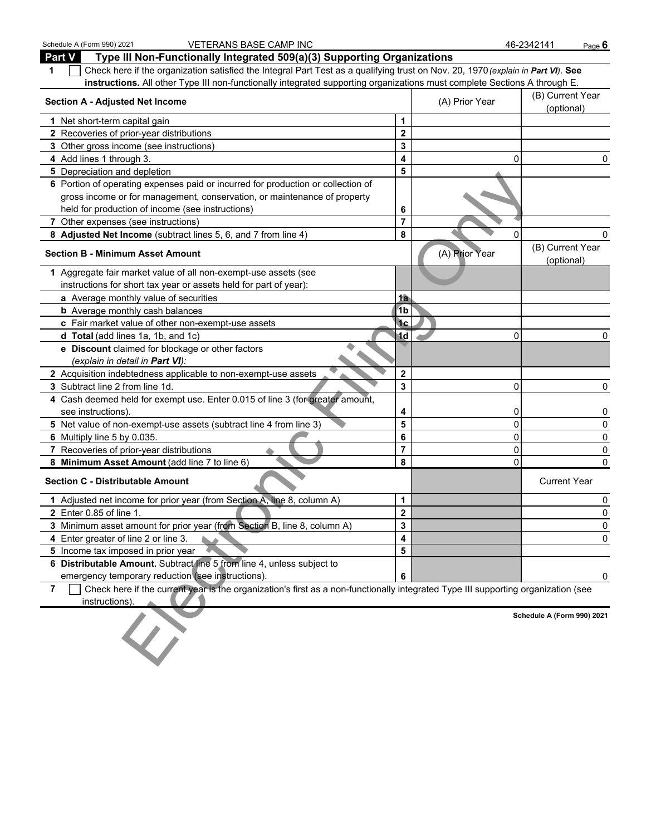| Schedule A (Form 990) 2021<br>VETERANS BASE CAMP INC                                                                                   |                         |                | 46-2342141<br>Page 6           |
|----------------------------------------------------------------------------------------------------------------------------------------|-------------------------|----------------|--------------------------------|
| Part V<br>Type III Non-Functionally Integrated 509(a)(3) Supporting Organizations                                                      |                         |                |                                |
| Check here if the organization satisfied the Integral Part Test as a qualifying trust on Nov. 20, 1970 (explain in Part VI). See<br>1  |                         |                |                                |
| instructions. All other Type III non-functionally integrated supporting organizations must complete Sections A through E.              |                         |                |                                |
| <b>Section A - Adjusted Net Income</b>                                                                                                 |                         | (A) Prior Year | (B) Current Year<br>(optional) |
| 1 Net short-term capital gain                                                                                                          | 1                       |                |                                |
| 2 Recoveries of prior-year distributions                                                                                               | $\mathbf 2$             |                |                                |
| 3 Other gross income (see instructions)                                                                                                | 3                       |                |                                |
| 4 Add lines 1 through 3.                                                                                                               | 4                       | 0              | 0                              |
| 5 Depreciation and depletion                                                                                                           | 5                       |                |                                |
| 6 Portion of operating expenses paid or incurred for production or collection of                                                       |                         |                |                                |
| gross income or for management, conservation, or maintenance of property                                                               |                         |                |                                |
| held for production of income (see instructions)                                                                                       | 6                       |                |                                |
| 7 Other expenses (see instructions)                                                                                                    | $\overline{7}$          |                |                                |
| 8 Adjusted Net Income (subtract lines 5, 6, and 7 from line 4)                                                                         | 8                       | 0              | 0                              |
| <b>Section B - Minimum Asset Amount</b>                                                                                                |                         | (A) Prior Year | (B) Current Year<br>(optional) |
| 1 Aggregate fair market value of all non-exempt-use assets (see                                                                        |                         |                |                                |
| instructions for short tax year or assets held for part of year):                                                                      |                         |                |                                |
| a Average monthly value of securities                                                                                                  | <u>1a</u>               |                |                                |
| <b>b</b> Average monthly cash balances                                                                                                 | 1 <sub>b</sub>          |                |                                |
| c Fair market value of other non-exempt-use assets                                                                                     | <sup>1</sup> c          |                |                                |
| d Total (add lines 1a, 1b, and 1c)                                                                                                     | 1d                      | 0              | 0                              |
| e Discount claimed for blockage or other factors                                                                                       |                         |                |                                |
| (explain in detail in <b>Part VI</b> ):                                                                                                |                         |                |                                |
| 2 Acquisition indebtedness applicable to non-exempt-use assets                                                                         | $\mathbf 2$             |                |                                |
| 3 Subtract line 2 from line 1d.                                                                                                        | 3                       | 0              | 0                              |
| 4 Cash deemed held for exempt use. Enter 0.015 of line 3 (for greater amount,                                                          |                         |                |                                |
| see instructions).                                                                                                                     | 4                       | 0              | 0                              |
| 5 Net value of non-exempt-use assets (subtract line 4 from line 3)                                                                     | $\overline{\mathbf{5}}$ | 0              | 0                              |
| 6 Multiply line 5 by 0.035.                                                                                                            | 6                       | 0              | 0                              |
| 7 Recoveries of prior-year distributions                                                                                               | $\overline{7}$          | 0              | 0                              |
| 8 Minimum Asset Amount (add line 7 to line 6)                                                                                          | 8                       | 0              | 0                              |
| <b>Section C - Distributable Amount</b>                                                                                                |                         |                | <b>Current Year</b>            |
| 1 Adjusted net income for prior year (from Section A, line 8, column A)                                                                | 1                       |                | 0                              |
| <b>2</b> Enter 0.85 of line 1.                                                                                                         | $\mathbf{2}$            |                | 0                              |
| 3 Minimum asset amount for prior year (from Section B, line 8, column A)                                                               | 3                       |                | 0                              |
| 4 Enter greater of line 2 or line 3.                                                                                                   | 4                       |                | 0                              |
| 5 Income tax imposed in prior year                                                                                                     | 5                       |                |                                |
| 6 Distributable Amount. Subtract line 5 from line 4, unless subject to                                                                 |                         |                |                                |
| emergency temporary reduction (see instructions).                                                                                      | 6                       |                | 0                              |
| Check here if the current year is the organization's first as a non-functionally integrated Type III supporting organization (see<br>7 |                         |                |                                |
| instructions).                                                                                                                         |                         |                |                                |
|                                                                                                                                        |                         |                | Schedule A (Form 990) 2021     |
|                                                                                                                                        |                         |                |                                |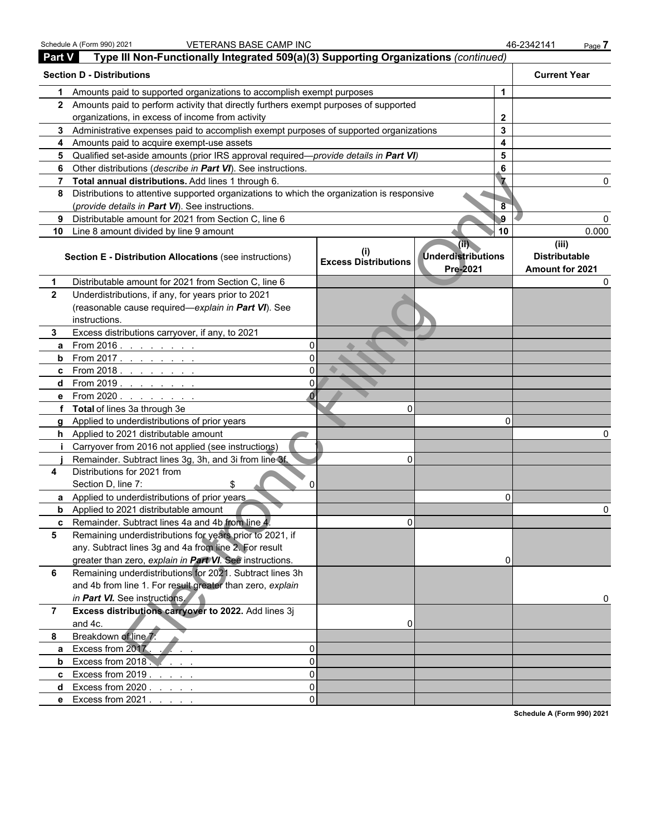|                | Schedule A (Form 990) 2021<br><b>VETERANS BASE CAMP INC</b>                                |                                             |                                                            | 46-2342141<br>Page 7                             |  |
|----------------|--------------------------------------------------------------------------------------------|---------------------------------------------|------------------------------------------------------------|--------------------------------------------------|--|
| <b>Part V</b>  | Type III Non-Functionally Integrated 509(a)(3) Supporting Organizations (continued)        |                                             |                                                            |                                                  |  |
|                | <b>Section D - Distributions</b>                                                           |                                             |                                                            | <b>Current Year</b>                              |  |
| 1              | Amounts paid to supported organizations to accomplish exempt purposes                      |                                             | 1                                                          |                                                  |  |
|                | 2 Amounts paid to perform activity that directly furthers exempt purposes of supported     |                                             |                                                            |                                                  |  |
|                | organizations, in excess of income from activity                                           |                                             | $\mathbf{2}$                                               |                                                  |  |
|                | 3 Administrative expenses paid to accomplish exempt purposes of supported organizations    |                                             | 3                                                          |                                                  |  |
|                | 4 Amounts paid to acquire exempt-use assets                                                |                                             | $\overline{\mathbf{4}}$                                    |                                                  |  |
| 5.             | Qualified set-aside amounts (prior IRS approval required-provide details in Part VI)       |                                             | 5                                                          |                                                  |  |
| 6              | Other distributions (describe in Part VI). See instructions.                               |                                             | 6                                                          |                                                  |  |
| 7              | Total annual distributions. Add lines 1 through 6.                                         |                                             |                                                            |                                                  |  |
| 8              | Distributions to attentive supported organizations to which the organization is responsive |                                             |                                                            |                                                  |  |
|                | (provide details in Part VI). See instructions.                                            |                                             | $\overline{8}$                                             |                                                  |  |
| 9              | Distributable amount for 2021 from Section C, line 6                                       |                                             | -9                                                         |                                                  |  |
| 10             | Line 8 amount divided by line 9 amount                                                     |                                             | 10                                                         | 0.000                                            |  |
|                | Section E - Distribution Allocations (see instructions)                                    | $\mathbf{I}$<br><b>Excess Distributions</b> | $(\overline{11})$<br><b>Underdistributions</b><br>Pre-2021 | (iii)<br><b>Distributable</b><br>Amount for 2021 |  |
| 1.             | Distributable amount for 2021 from Section C, line 6                                       |                                             |                                                            | <sup>0</sup>                                     |  |
| $\mathbf{2}$   | Underdistributions, if any, for years prior to 2021                                        |                                             |                                                            |                                                  |  |
|                | (reasonable cause required-explain in Part VI). See<br>instructions.                       |                                             |                                                            |                                                  |  |
| 3              | Excess distributions carryover, if any, to 2021                                            |                                             |                                                            |                                                  |  |
| a              | From 2016 <u>.</u><br>$\Omega$                                                             |                                             |                                                            |                                                  |  |
| b              | $\Omega$<br>From 2017.                                                                     |                                             |                                                            |                                                  |  |
| c              | $\Omega$<br>From 2018. $\ldots$ $\ldots$ $\ldots$                                          |                                             |                                                            |                                                  |  |
| d              | $\Omega$<br>From 2019. <u>.</u>                                                            |                                             |                                                            |                                                  |  |
| е              | From 2020                                                                                  |                                             |                                                            |                                                  |  |
|                | f Total of lines 3a through 3e                                                             | $\Omega$                                    |                                                            |                                                  |  |
|                | g Applied to underdistributions of prior years                                             |                                             | O                                                          |                                                  |  |
|                | h Applied to 2021 distributable amount                                                     |                                             |                                                            |                                                  |  |
|                | Carryover from 2016 not applied (see instructions)                                         |                                             |                                                            |                                                  |  |
|                | Remainder. Subtract lines 3g, 3h, and 3i from line 3f.                                     | $\Omega$                                    |                                                            |                                                  |  |
| 4              | Distributions for 2021 from<br>Section D, line 7:<br>$\Omega$<br>S                         |                                             |                                                            |                                                  |  |
|                | <b>a</b> Applied to underdistributions of prior years                                      |                                             | 0                                                          |                                                  |  |
|                | <b>b</b> Applied to 2021 distributable amount                                              |                                             |                                                            |                                                  |  |
| C              | Remainder. Subtract lines 4a and 4b from line 4.                                           | $\Omega$                                    |                                                            |                                                  |  |
| 5              | Remaining underdistributions for years prior to 2021, if                                   |                                             |                                                            |                                                  |  |
|                | any. Subtract lines 3g and 4a from line 2. For result                                      |                                             |                                                            |                                                  |  |
|                | greater than zero, explain in Part VI. See instructions.                                   |                                             |                                                            |                                                  |  |
| 6              | Remaining underdistributions for 2021. Subtract lines 3h                                   |                                             |                                                            |                                                  |  |
|                | and 4b from line 1. For result greater than zero, explain                                  |                                             |                                                            |                                                  |  |
|                | in Part VI. See instructions.                                                              |                                             |                                                            | U                                                |  |
| $\overline{7}$ | Excess distributions carryover to 2022. Add lines 3j<br>and 4c.                            | 0                                           |                                                            |                                                  |  |
| 8              | Breakdown of line 7:                                                                       |                                             |                                                            |                                                  |  |
| a              | Excess from 2017.<br>$\Omega$                                                              |                                             |                                                            |                                                  |  |
| b              | $\Omega$<br>Excess from 2018                                                               |                                             |                                                            |                                                  |  |
| C              | $\Omega$<br>Excess from $2019.$                                                            |                                             |                                                            |                                                  |  |
| d              | $\Omega$<br>Excess from 2020.                                                              |                                             |                                                            |                                                  |  |
|                | $\Omega$<br>e Excess from 2021.                                                            |                                             |                                                            |                                                  |  |
|                |                                                                                            |                                             |                                                            | Schodule A (Form 000) 2024                       |  |

**Schedule A (Form 990) 2021**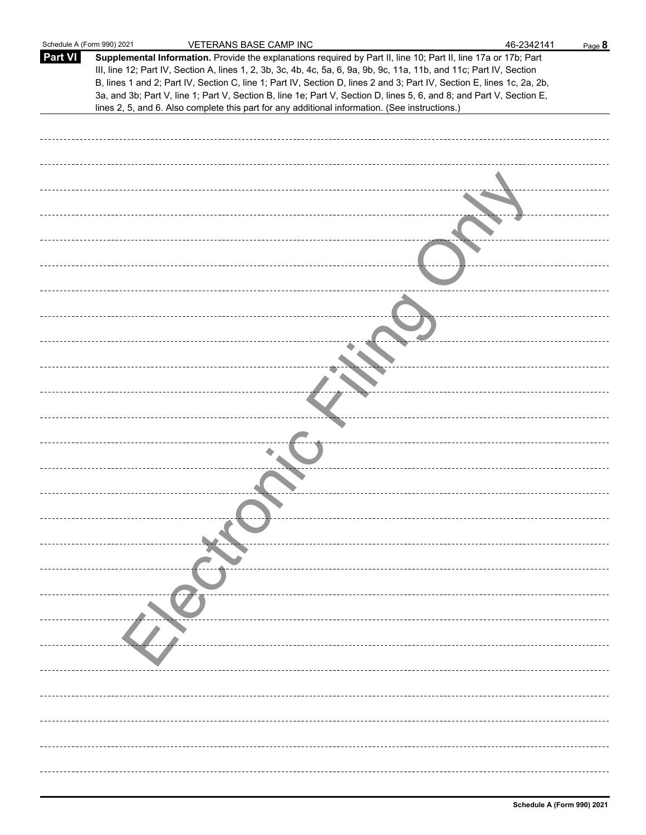| Schedule A (Form 990) 2021 | VETERANS BASE CAMP INC                                                                                                                                                                                                                                                                                                                                                                                                                                                                    | 46-2342141 | Page 8 |
|----------------------------|-------------------------------------------------------------------------------------------------------------------------------------------------------------------------------------------------------------------------------------------------------------------------------------------------------------------------------------------------------------------------------------------------------------------------------------------------------------------------------------------|------------|--------|
| <b>Part VI</b>             | Supplemental Information. Provide the explanations required by Part II, line 10; Part II, line 17a or 17b; Part<br>III, line 12; Part IV, Section A, lines 1, 2, 3b, 3c, 4b, 4c, 5a, 6, 9a, 9b, 9c, 11a, 11b, and 11c; Part IV, Section<br>B, lines 1 and 2; Part IV, Section C, line 1; Part IV, Section D, lines 2 and 3; Part IV, Section E, lines 1c, 2a, 2b,<br>3a, and 3b; Part V, line 1; Part V, Section B, line 1e; Part V, Section D, lines 5, 6, and 8; and Part V, Section E, |            |        |
|                            | lines 2, 5, and 6. Also complete this part for any additional information. (See instructions.)                                                                                                                                                                                                                                                                                                                                                                                            |            |        |
|                            |                                                                                                                                                                                                                                                                                                                                                                                                                                                                                           |            |        |
|                            |                                                                                                                                                                                                                                                                                                                                                                                                                                                                                           |            |        |
|                            |                                                                                                                                                                                                                                                                                                                                                                                                                                                                                           |            |        |
|                            |                                                                                                                                                                                                                                                                                                                                                                                                                                                                                           |            |        |
|                            |                                                                                                                                                                                                                                                                                                                                                                                                                                                                                           |            |        |
|                            |                                                                                                                                                                                                                                                                                                                                                                                                                                                                                           |            |        |
|                            |                                                                                                                                                                                                                                                                                                                                                                                                                                                                                           |            |        |
|                            |                                                                                                                                                                                                                                                                                                                                                                                                                                                                                           |            |        |
|                            |                                                                                                                                                                                                                                                                                                                                                                                                                                                                                           |            |        |
|                            |                                                                                                                                                                                                                                                                                                                                                                                                                                                                                           |            |        |
|                            |                                                                                                                                                                                                                                                                                                                                                                                                                                                                                           |            |        |
|                            |                                                                                                                                                                                                                                                                                                                                                                                                                                                                                           |            |        |
|                            |                                                                                                                                                                                                                                                                                                                                                                                                                                                                                           |            |        |
|                            |                                                                                                                                                                                                                                                                                                                                                                                                                                                                                           |            |        |
|                            |                                                                                                                                                                                                                                                                                                                                                                                                                                                                                           |            |        |
|                            |                                                                                                                                                                                                                                                                                                                                                                                                                                                                                           |            |        |
|                            |                                                                                                                                                                                                                                                                                                                                                                                                                                                                                           |            |        |
|                            |                                                                                                                                                                                                                                                                                                                                                                                                                                                                                           |            |        |
|                            |                                                                                                                                                                                                                                                                                                                                                                                                                                                                                           |            |        |
|                            |                                                                                                                                                                                                                                                                                                                                                                                                                                                                                           |            |        |
|                            |                                                                                                                                                                                                                                                                                                                                                                                                                                                                                           |            |        |
|                            |                                                                                                                                                                                                                                                                                                                                                                                                                                                                                           |            |        |
|                            |                                                                                                                                                                                                                                                                                                                                                                                                                                                                                           |            |        |
|                            |                                                                                                                                                                                                                                                                                                                                                                                                                                                                                           |            |        |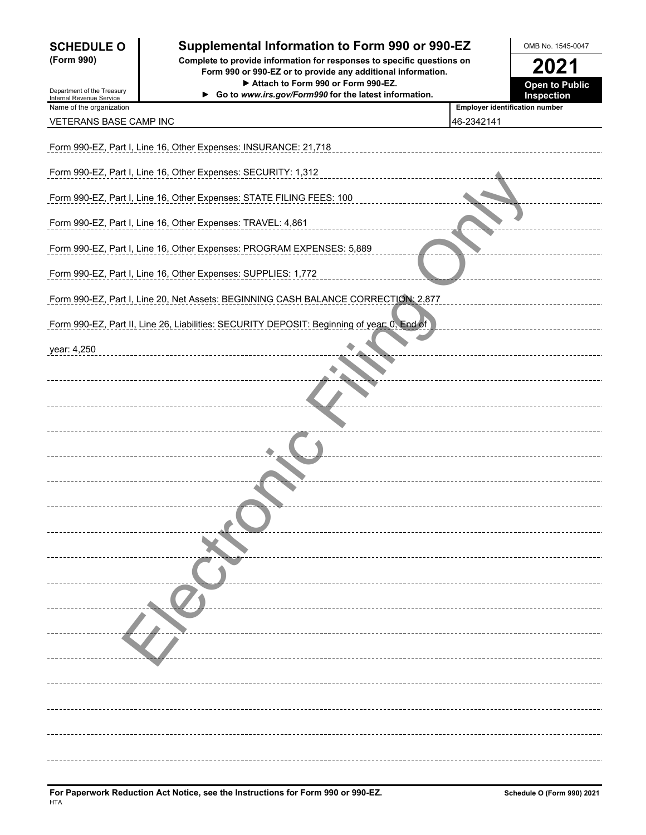| <b>SCHEDULE O</b> |  |
|-------------------|--|
| (Form 990)        |  |

### **Supplemental Information to Form 990 or 990-EZ** OMB No. 1545-0047

**(Form 990) Complete to provide information for responses to specific questions on Form 990 or 990-EZ or to provide any additional information. 2021** ▶ Attach to Form 990 or Form 990-EZ. **Open to Public** 

| Department of the Treasury                           | ▶ Attach to Form 990 or Form 990-EZ.                                                       |                                       | <b>Open to Public</b> |
|------------------------------------------------------|--------------------------------------------------------------------------------------------|---------------------------------------|-----------------------|
| Internal Revenue Service<br>Name of the organization | Go to www.irs.gov/Form990 for the latest information.                                      | <b>Employer identification number</b> | Inspection            |
| VETERANS BASE CAMP INC                               |                                                                                            | 46-2342141                            |                       |
|                                                      |                                                                                            |                                       |                       |
|                                                      | Form 990-EZ, Part I, Line 16, Other Expenses: INSURANCE: 21,718                            |                                       |                       |
|                                                      |                                                                                            |                                       |                       |
|                                                      | Form 990-EZ, Part I, Line 16, Other Expenses: SECURITY: 1,312                              |                                       |                       |
|                                                      | Form 990-EZ, Part I, Line 16, Other Expenses: STATE FILING FEES: 100                       |                                       |                       |
|                                                      |                                                                                            |                                       |                       |
|                                                      | Form 990-EZ, Part I, Line 16, Other Expenses: TRAVEL: 4,861                                |                                       |                       |
|                                                      |                                                                                            |                                       |                       |
|                                                      | Form 990-EZ, Part I, Line 16, Other Expenses: PROGRAM EXPENSES: 5,889                      |                                       |                       |
|                                                      | Form 990-EZ, Part I, Line 16, Other Expenses: SUPPLIES: 1,772                              |                                       |                       |
|                                                      |                                                                                            |                                       |                       |
|                                                      | Form 990-EZ, Part I, Line 20, Net Assets: BEGINNING CASH BALANCE CORRECTION: 2,877         |                                       |                       |
|                                                      | Form 990-EZ, Part II, Line 26, Liabilities: SECURITY DEPOSIT: Beginning of year: 0, End of |                                       |                       |
|                                                      |                                                                                            |                                       |                       |
| year: 4,250                                          |                                                                                            |                                       |                       |
|                                                      |                                                                                            |                                       |                       |
|                                                      |                                                                                            |                                       |                       |
|                                                      |                                                                                            |                                       |                       |
|                                                      |                                                                                            |                                       |                       |
|                                                      |                                                                                            |                                       |                       |
|                                                      |                                                                                            |                                       |                       |
|                                                      |                                                                                            |                                       |                       |
|                                                      |                                                                                            |                                       |                       |
|                                                      |                                                                                            |                                       |                       |
|                                                      |                                                                                            |                                       |                       |
|                                                      |                                                                                            |                                       |                       |
|                                                      |                                                                                            |                                       |                       |
|                                                      |                                                                                            |                                       |                       |
|                                                      |                                                                                            |                                       |                       |
|                                                      |                                                                                            |                                       |                       |
|                                                      |                                                                                            |                                       |                       |
|                                                      |                                                                                            |                                       |                       |
|                                                      |                                                                                            |                                       |                       |
|                                                      |                                                                                            |                                       |                       |
|                                                      |                                                                                            |                                       |                       |
|                                                      |                                                                                            |                                       |                       |
|                                                      |                                                                                            |                                       |                       |
|                                                      |                                                                                            |                                       |                       |
|                                                      |                                                                                            |                                       |                       |
|                                                      |                                                                                            |                                       |                       |